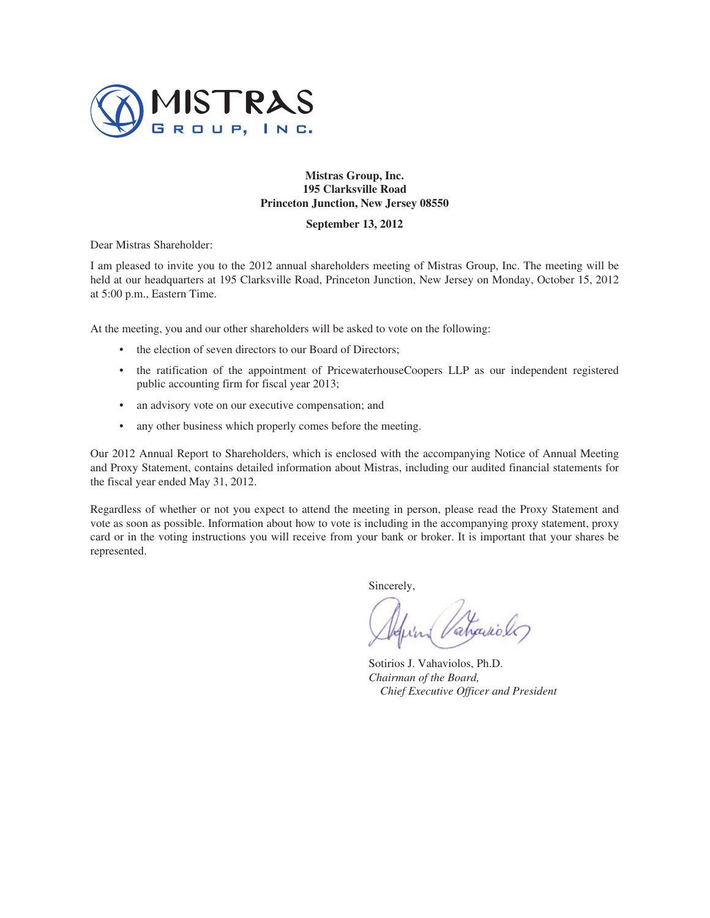

# **Mistras Group, Inc. 195 Clarksville Road Princeton Junction, New Jersey 08550**

# **September 13, 2012**

Dear Mistras Shareholder:

I am pleased to invite you to the 2012 annual shareholders meeting of Mistras Group, Inc. The meeting will be held at our headquarters at 195 Clarksville Road, Princeton Junction, New Jersey on Monday, October 15, 2012 at 5:00 p.m., Eastern Time.

At the meeting, you and our other shareholders will be asked to vote on the following:

- the election of seven directors to our Board of Directors:
- the ratification of the appointment of PricewaterhouseCoopers LLP as our independent registered public accounting firm for fiscal year 2013;
- an advisory vote on our executive compensation; and
- any other business which properly comes before the meeting.

Our 2012 Annual Report to Shareholders, which is enclosed with the accompanying Notice of Annual Meeting and Proxy Statement, contains detailed information about Mistras, including our audited financial statements for the fiscal year ended May 31, 2012.

Regardless of whether or not you expect to attend the meeting in person, please read the Proxy Statement and vote as soon as possible. Information about how to vote is including in the accompanying proxy statement, proxy card or in the voting instructions you will receive from your bank or broker. It is important that your shares be represented.

Sincerely,

Sotirios J. Vahaviolos, Ph.D. *Chairman of the Board, Chief Executive Officer and President*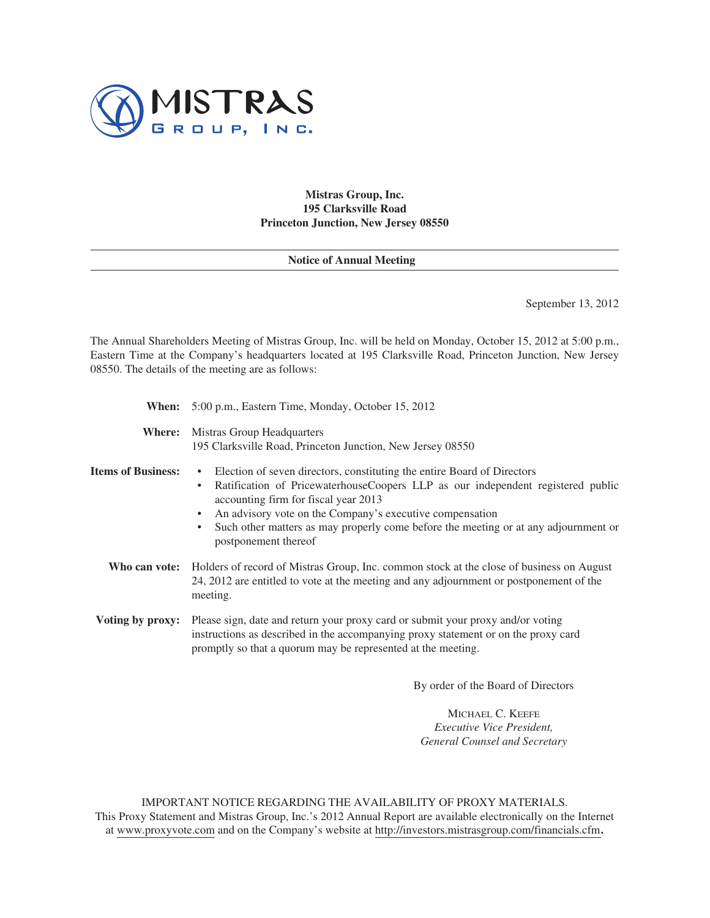

**Mistras Group, Inc. 195 Clarksville Road Princeton Junction, New Jersey 08550**

# **Notice of Annual Meeting**

September 13, 2012

The Annual Shareholders Meeting of Mistras Group, Inc. will be held on Monday, October 15, 2012 at 5:00 p.m., Eastern Time at the Company's headquarters located at 195 Clarksville Road, Princeton Junction, New Jersey 08550. The details of the meeting are as follows:

**When:** 5:00 p.m., Eastern Time, Monday, October 15, 2012

**Where:** Mistras Group Headquarters 195 Clarksville Road, Princeton Junction, New Jersey 08550

## **Items of Business:** • Election of seven directors, constituting the entire Board of Directors

- Ratification of PricewaterhouseCoopers LLP as our independent registered public accounting firm for fiscal year 2013
	- An advisory vote on the Company's executive compensation
	- Such other matters as may properly come before the meeting or at any adjournment or postponement thereof
- **Who can vote:** Holders of record of Mistras Group, Inc. common stock at the close of business on August 24, 2012 are entitled to vote at the meeting and any adjournment or postponement of the meeting.
- **Voting by proxy:** Please sign, date and return your proxy card or submit your proxy and/or voting instructions as described in the accompanying proxy statement or on the proxy card promptly so that a quorum may be represented at the meeting.

By order of the Board of Directors

MICHAEL C. KEEFE *Executive Vice President, General Counsel and Secretary*

IMPORTANT NOTICE REGARDING THE AVAILABILITY OF PROXY MATERIALS. This Proxy Statement and Mistras Group, Inc.'s 2012 Annual Report are available electronically on the Internet at www.proxyvote.com and on the Company's website at http://investors.mistrasgroup.com/financials.cfm**.**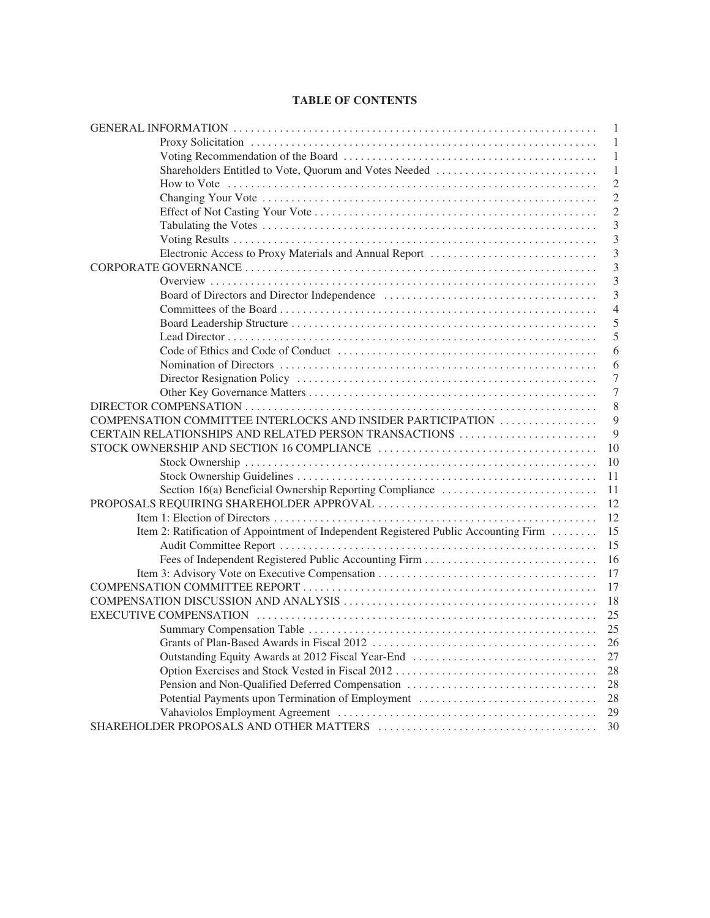# **TABLE OF CONTENTS**

|                                                                                      | 1              |
|--------------------------------------------------------------------------------------|----------------|
|                                                                                      | 1              |
|                                                                                      | 1              |
|                                                                                      | 1              |
|                                                                                      | $\overline{2}$ |
|                                                                                      | $\overline{2}$ |
|                                                                                      | $\overline{2}$ |
|                                                                                      | 3              |
|                                                                                      | 3              |
|                                                                                      | 3              |
|                                                                                      | 3              |
|                                                                                      | $\overline{3}$ |
|                                                                                      | $\overline{3}$ |
|                                                                                      | $\overline{4}$ |
|                                                                                      | 5              |
|                                                                                      | 5              |
|                                                                                      | 6              |
|                                                                                      | 6              |
|                                                                                      | $\overline{7}$ |
|                                                                                      | $\overline{7}$ |
|                                                                                      | 8              |
| COMPENSATION COMMITTEE INTERLOCKS AND INSIDER PARTICIPATION                          | 9              |
| CERTAIN RELATIONSHIPS AND RELATED PERSON TRANSACTIONS                                | 9              |
|                                                                                      | 10             |
|                                                                                      | 10             |
|                                                                                      | 11             |
| Section 16(a) Beneficial Ownership Reporting Compliance                              | 11             |
|                                                                                      | 12             |
|                                                                                      | 12             |
| Item 2: Ratification of Appointment of Independent Registered Public Accounting Firm | 15             |
|                                                                                      | 15             |
|                                                                                      | 16             |
|                                                                                      | 17             |
|                                                                                      | 17             |
|                                                                                      | 18             |
|                                                                                      | 25             |
|                                                                                      |                |
|                                                                                      | 26             |
|                                                                                      | 27             |
|                                                                                      | 28             |
| Pension and Non-Qualified Deferred Compensation                                      | 28             |
| Potential Payments upon Termination of Employment                                    | 28             |
|                                                                                      | 29             |
|                                                                                      | 30             |
|                                                                                      |                |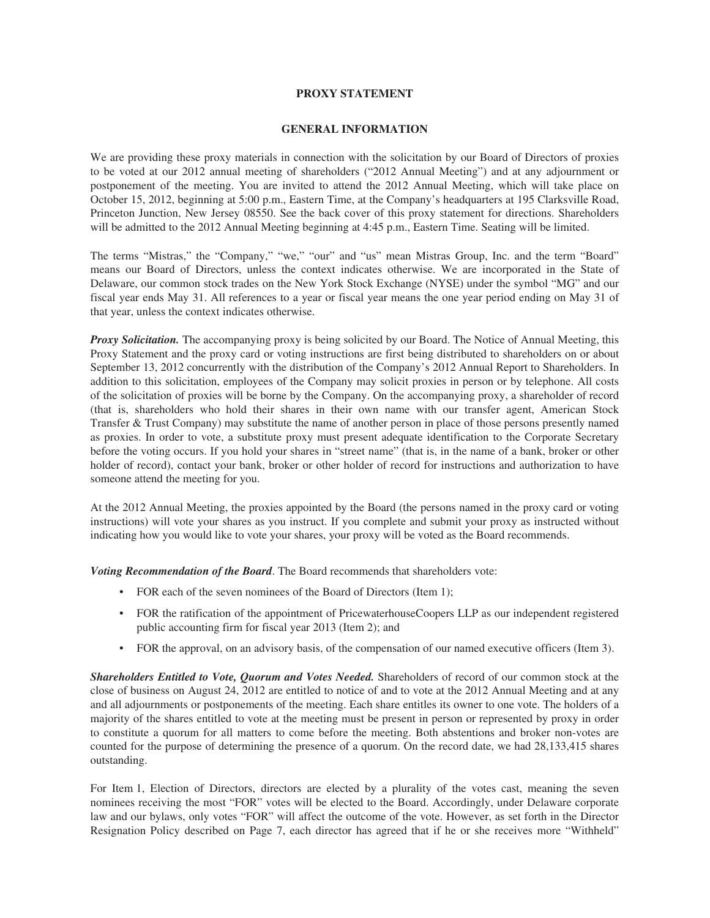# **PROXY STATEMENT**

# **GENERAL INFORMATION**

We are providing these proxy materials in connection with the solicitation by our Board of Directors of proxies to be voted at our 2012 annual meeting of shareholders ("2012 Annual Meeting") and at any adjournment or postponement of the meeting. You are invited to attend the 2012 Annual Meeting, which will take place on October 15, 2012, beginning at 5:00 p.m., Eastern Time, at the Company's headquarters at 195 Clarksville Road, Princeton Junction, New Jersey 08550. See the back cover of this proxy statement for directions. Shareholders will be admitted to the 2012 Annual Meeting beginning at 4:45 p.m., Eastern Time. Seating will be limited.

The terms "Mistras," the "Company," "we," "our" and "us" mean Mistras Group, Inc. and the term "Board" means our Board of Directors, unless the context indicates otherwise. We are incorporated in the State of Delaware, our common stock trades on the New York Stock Exchange (NYSE) under the symbol "MG" and our fiscal year ends May 31. All references to a year or fiscal year means the one year period ending on May 31 of that year, unless the context indicates otherwise.

*Proxy Solicitation.* The accompanying proxy is being solicited by our Board. The Notice of Annual Meeting, this Proxy Statement and the proxy card or voting instructions are first being distributed to shareholders on or about September 13, 2012 concurrently with the distribution of the Company's 2012 Annual Report to Shareholders. In addition to this solicitation, employees of the Company may solicit proxies in person or by telephone. All costs of the solicitation of proxies will be borne by the Company. On the accompanying proxy, a shareholder of record (that is, shareholders who hold their shares in their own name with our transfer agent, American Stock Transfer & Trust Company) may substitute the name of another person in place of those persons presently named as proxies. In order to vote, a substitute proxy must present adequate identification to the Corporate Secretary before the voting occurs. If you hold your shares in "street name" (that is, in the name of a bank, broker or other holder of record), contact your bank, broker or other holder of record for instructions and authorization to have someone attend the meeting for you.

At the 2012 Annual Meeting, the proxies appointed by the Board (the persons named in the proxy card or voting instructions) will vote your shares as you instruct. If you complete and submit your proxy as instructed without indicating how you would like to vote your shares, your proxy will be voted as the Board recommends.

*Voting Recommendation of the Board*. The Board recommends that shareholders vote:

- FOR each of the seven nominees of the Board of Directors (Item 1);
- FOR the ratification of the appointment of PricewaterhouseCoopers LLP as our independent registered public accounting firm for fiscal year 2013 (Item 2); and
- FOR the approval, on an advisory basis, of the compensation of our named executive officers (Item 3).

*Shareholders Entitled to Vote, Quorum and Votes Needed.* Shareholders of record of our common stock at the close of business on August 24, 2012 are entitled to notice of and to vote at the 2012 Annual Meeting and at any and all adjournments or postponements of the meeting. Each share entitles its owner to one vote. The holders of a majority of the shares entitled to vote at the meeting must be present in person or represented by proxy in order to constitute a quorum for all matters to come before the meeting. Both abstentions and broker non-votes are counted for the purpose of determining the presence of a quorum. On the record date, we had 28,133,415 shares outstanding.

For Item 1, Election of Directors, directors are elected by a plurality of the votes cast, meaning the seven nominees receiving the most "FOR" votes will be elected to the Board. Accordingly, under Delaware corporate law and our bylaws, only votes "FOR" will affect the outcome of the vote. However, as set forth in the Director Resignation Policy described on Page 7, each director has agreed that if he or she receives more "Withheld"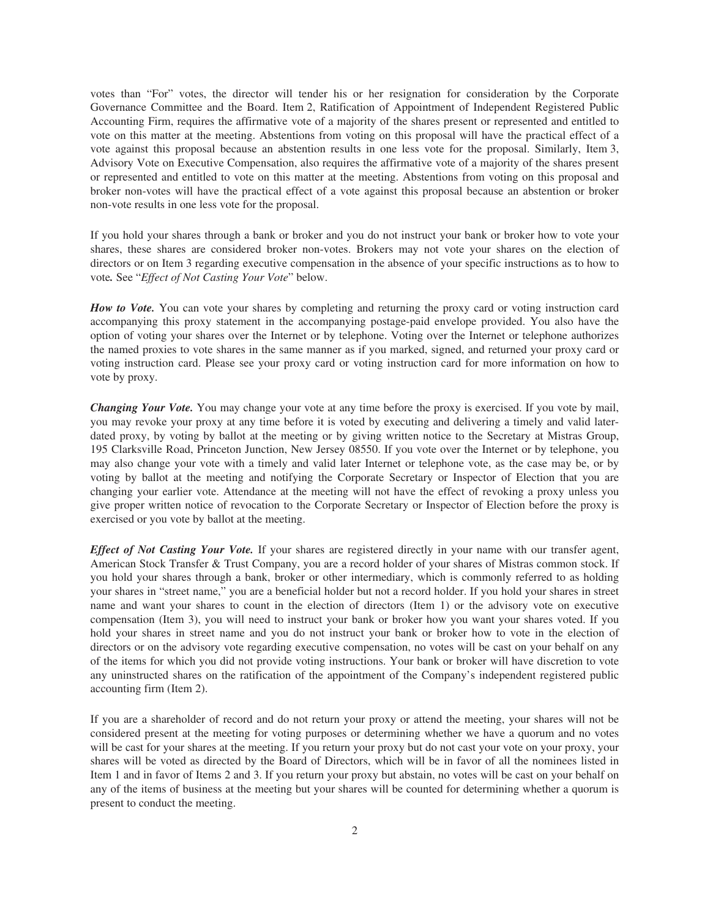votes than "For" votes, the director will tender his or her resignation for consideration by the Corporate Governance Committee and the Board. Item 2, Ratification of Appointment of Independent Registered Public Accounting Firm, requires the affirmative vote of a majority of the shares present or represented and entitled to vote on this matter at the meeting. Abstentions from voting on this proposal will have the practical effect of a vote against this proposal because an abstention results in one less vote for the proposal. Similarly, Item 3, Advisory Vote on Executive Compensation, also requires the affirmative vote of a majority of the shares present or represented and entitled to vote on this matter at the meeting. Abstentions from voting on this proposal and broker non-votes will have the practical effect of a vote against this proposal because an abstention or broker non-vote results in one less vote for the proposal.

If you hold your shares through a bank or broker and you do not instruct your bank or broker how to vote your shares, these shares are considered broker non-votes. Brokers may not vote your shares on the election of directors or on Item 3 regarding executive compensation in the absence of your specific instructions as to how to vote*.* See "*Effect of Not Casting Your Vote*" below.

*How to Vote.* You can vote your shares by completing and returning the proxy card or voting instruction card accompanying this proxy statement in the accompanying postage-paid envelope provided. You also have the option of voting your shares over the Internet or by telephone. Voting over the Internet or telephone authorizes the named proxies to vote shares in the same manner as if you marked, signed, and returned your proxy card or voting instruction card. Please see your proxy card or voting instruction card for more information on how to vote by proxy.

*Changing Your Vote.* You may change your vote at any time before the proxy is exercised. If you vote by mail, you may revoke your proxy at any time before it is voted by executing and delivering a timely and valid laterdated proxy, by voting by ballot at the meeting or by giving written notice to the Secretary at Mistras Group, 195 Clarksville Road, Princeton Junction, New Jersey 08550. If you vote over the Internet or by telephone, you may also change your vote with a timely and valid later Internet or telephone vote, as the case may be, or by voting by ballot at the meeting and notifying the Corporate Secretary or Inspector of Election that you are changing your earlier vote. Attendance at the meeting will not have the effect of revoking a proxy unless you give proper written notice of revocation to the Corporate Secretary or Inspector of Election before the proxy is exercised or you vote by ballot at the meeting.

*Effect of Not Casting Your Vote.* If your shares are registered directly in your name with our transfer agent, American Stock Transfer & Trust Company, you are a record holder of your shares of Mistras common stock. If you hold your shares through a bank, broker or other intermediary, which is commonly referred to as holding your shares in "street name," you are a beneficial holder but not a record holder. If you hold your shares in street name and want your shares to count in the election of directors (Item 1) or the advisory vote on executive compensation (Item 3), you will need to instruct your bank or broker how you want your shares voted. If you hold your shares in street name and you do not instruct your bank or broker how to vote in the election of directors or on the advisory vote regarding executive compensation, no votes will be cast on your behalf on any of the items for which you did not provide voting instructions. Your bank or broker will have discretion to vote any uninstructed shares on the ratification of the appointment of the Company's independent registered public accounting firm (Item 2).

If you are a shareholder of record and do not return your proxy or attend the meeting, your shares will not be considered present at the meeting for voting purposes or determining whether we have a quorum and no votes will be cast for your shares at the meeting. If you return your proxy but do not cast your vote on your proxy, your shares will be voted as directed by the Board of Directors, which will be in favor of all the nominees listed in Item 1 and in favor of Items 2 and 3. If you return your proxy but abstain, no votes will be cast on your behalf on any of the items of business at the meeting but your shares will be counted for determining whether a quorum is present to conduct the meeting.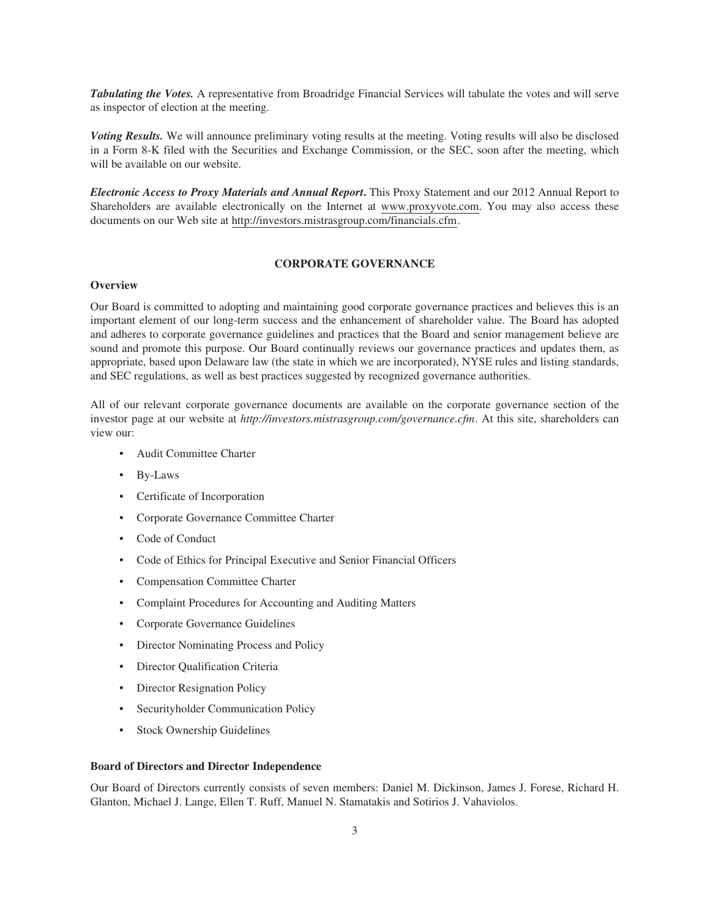*Tabulating the Votes.* A representative from Broadridge Financial Services will tabulate the votes and will serve as inspector of election at the meeting.

*Voting Results.* We will announce preliminary voting results at the meeting. Voting results will also be disclosed in a Form 8-K filed with the Securities and Exchange Commission, or the SEC, soon after the meeting, which will be available on our website.

*Electronic Access to Proxy Materials and Annual Report***.** This Proxy Statement and our 2012 Annual Report to Shareholders are available electronically on the Internet at www.proxyvote.com. You may also access these documents on our Web site at http://investors.mistrasgroup.com/financials.cfm.

# **CORPORATE GOVERNANCE**

# **Overview**

Our Board is committed to adopting and maintaining good corporate governance practices and believes this is an important element of our long-term success and the enhancement of shareholder value. The Board has adopted and adheres to corporate governance guidelines and practices that the Board and senior management believe are sound and promote this purpose. Our Board continually reviews our governance practices and updates them, as appropriate, based upon Delaware law (the state in which we are incorporated), NYSE rules and listing standards, and SEC regulations, as well as best practices suggested by recognized governance authorities.

All of our relevant corporate governance documents are available on the corporate governance section of the investor page at our website at *http://investors.mistrasgroup.com/governance.cfm*. At this site, shareholders can view our:

- Audit Committee Charter
- By-Laws
- Certificate of Incorporation
- Corporate Governance Committee Charter
- Code of Conduct
- Code of Ethics for Principal Executive and Senior Financial Officers
- Compensation Committee Charter
- Complaint Procedures for Accounting and Auditing Matters
- Corporate Governance Guidelines
- Director Nominating Process and Policy
- Director Qualification Criteria
- Director Resignation Policy
- Securityholder Communication Policy
- Stock Ownership Guidelines

#### **Board of Directors and Director Independence**

Our Board of Directors currently consists of seven members: Daniel M. Dickinson, James J. Forese, Richard H. Glanton, Michael J. Lange, Ellen T. Ruff, Manuel N. Stamatakis and Sotirios J. Vahaviolos.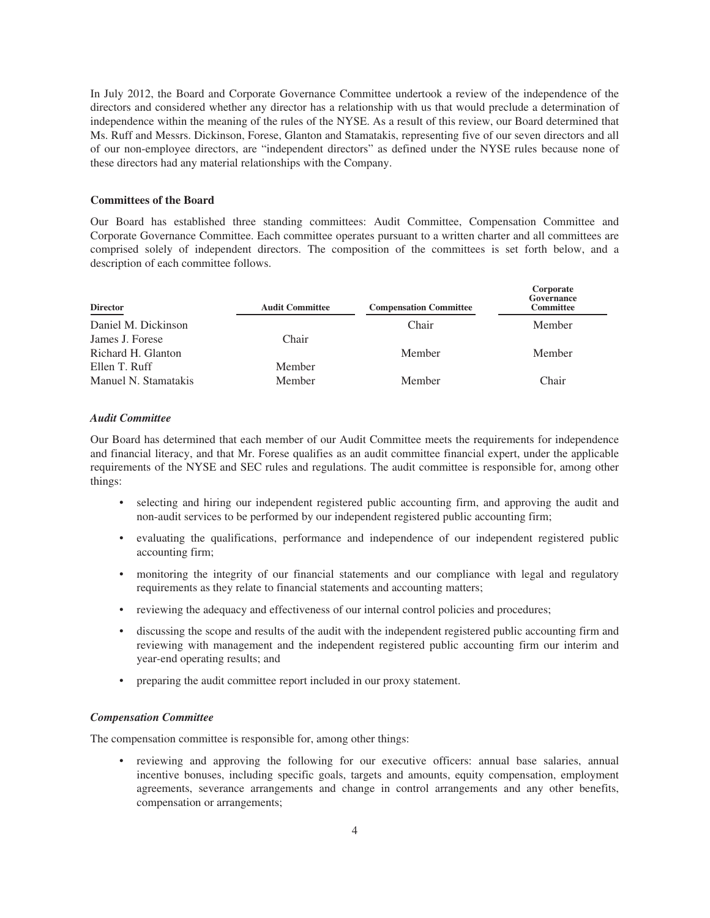In July 2012, the Board and Corporate Governance Committee undertook a review of the independence of the directors and considered whether any director has a relationship with us that would preclude a determination of independence within the meaning of the rules of the NYSE. As a result of this review, our Board determined that Ms. Ruff and Messrs. Dickinson, Forese, Glanton and Stamatakis, representing five of our seven directors and all of our non-employee directors, are "independent directors" as defined under the NYSE rules because none of these directors had any material relationships with the Company.

#### **Committees of the Board**

Our Board has established three standing committees: Audit Committee, Compensation Committee and Corporate Governance Committee. Each committee operates pursuant to a written charter and all committees are comprised solely of independent directors. The composition of the committees is set forth below, and a description of each committee follows.

| <b>Director</b>      | <b>Audit Committee</b> | <b>Compensation Committee</b> | Corporate<br>Governance<br><b>Committee</b> |
|----------------------|------------------------|-------------------------------|---------------------------------------------|
| Daniel M. Dickinson  |                        | Chair                         | Member                                      |
| James J. Forese      | Chair                  |                               |                                             |
| Richard H. Glanton   |                        | Member                        | Member                                      |
| Ellen T. Ruff        | Member                 |                               |                                             |
| Manuel N. Stamatakis | Member                 | Member                        | Chair                                       |

### *Audit Committee*

Our Board has determined that each member of our Audit Committee meets the requirements for independence and financial literacy, and that Mr. Forese qualifies as an audit committee financial expert, under the applicable requirements of the NYSE and SEC rules and regulations. The audit committee is responsible for, among other things:

- selecting and hiring our independent registered public accounting firm, and approving the audit and non-audit services to be performed by our independent registered public accounting firm;
- evaluating the qualifications, performance and independence of our independent registered public accounting firm;
- monitoring the integrity of our financial statements and our compliance with legal and regulatory requirements as they relate to financial statements and accounting matters;
- reviewing the adequacy and effectiveness of our internal control policies and procedures;
- discussing the scope and results of the audit with the independent registered public accounting firm and reviewing with management and the independent registered public accounting firm our interim and year-end operating results; and
- preparing the audit committee report included in our proxy statement.

### *Compensation Committee*

The compensation committee is responsible for, among other things:

• reviewing and approving the following for our executive officers: annual base salaries, annual incentive bonuses, including specific goals, targets and amounts, equity compensation, employment agreements, severance arrangements and change in control arrangements and any other benefits, compensation or arrangements;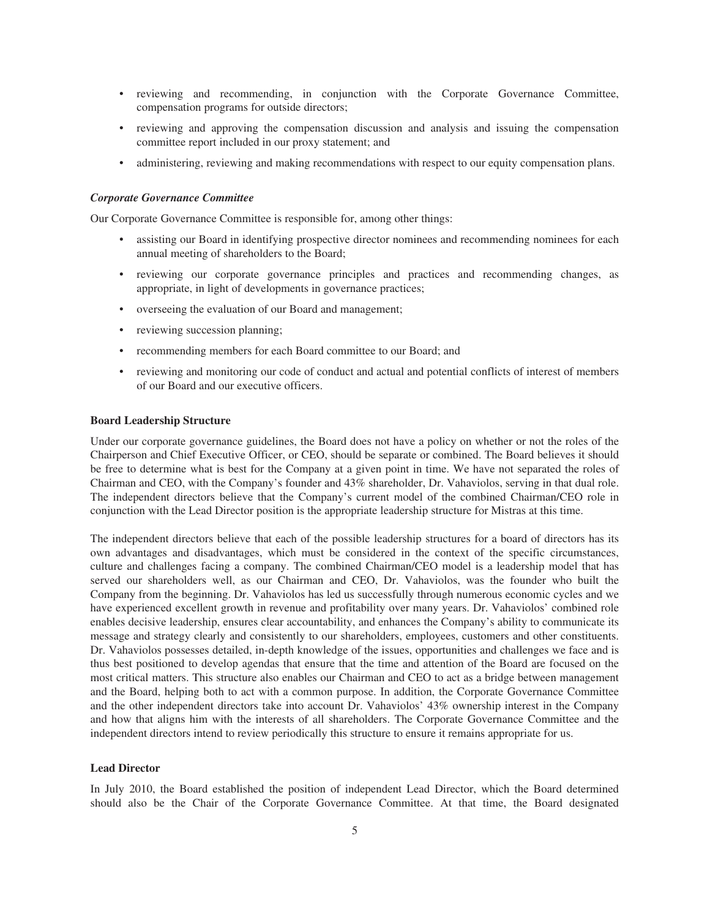- reviewing and recommending, in conjunction with the Corporate Governance Committee, compensation programs for outside directors;
- reviewing and approving the compensation discussion and analysis and issuing the compensation committee report included in our proxy statement; and
- administering, reviewing and making recommendations with respect to our equity compensation plans.

### *Corporate Governance Committee*

Our Corporate Governance Committee is responsible for, among other things:

- assisting our Board in identifying prospective director nominees and recommending nominees for each annual meeting of shareholders to the Board;
- reviewing our corporate governance principles and practices and recommending changes, as appropriate, in light of developments in governance practices;
- overseeing the evaluation of our Board and management;
- reviewing succession planning;
- recommending members for each Board committee to our Board; and
- reviewing and monitoring our code of conduct and actual and potential conflicts of interest of members of our Board and our executive officers.

#### **Board Leadership Structure**

Under our corporate governance guidelines, the Board does not have a policy on whether or not the roles of the Chairperson and Chief Executive Officer, or CEO, should be separate or combined. The Board believes it should be free to determine what is best for the Company at a given point in time. We have not separated the roles of Chairman and CEO, with the Company's founder and 43% shareholder, Dr. Vahaviolos, serving in that dual role. The independent directors believe that the Company's current model of the combined Chairman/CEO role in conjunction with the Lead Director position is the appropriate leadership structure for Mistras at this time.

The independent directors believe that each of the possible leadership structures for a board of directors has its own advantages and disadvantages, which must be considered in the context of the specific circumstances, culture and challenges facing a company. The combined Chairman/CEO model is a leadership model that has served our shareholders well, as our Chairman and CEO, Dr. Vahaviolos, was the founder who built the Company from the beginning. Dr. Vahaviolos has led us successfully through numerous economic cycles and we have experienced excellent growth in revenue and profitability over many years. Dr. Vahaviolos' combined role enables decisive leadership, ensures clear accountability, and enhances the Company's ability to communicate its message and strategy clearly and consistently to our shareholders, employees, customers and other constituents. Dr. Vahaviolos possesses detailed, in-depth knowledge of the issues, opportunities and challenges we face and is thus best positioned to develop agendas that ensure that the time and attention of the Board are focused on the most critical matters. This structure also enables our Chairman and CEO to act as a bridge between management and the Board, helping both to act with a common purpose. In addition, the Corporate Governance Committee and the other independent directors take into account Dr. Vahaviolos' 43% ownership interest in the Company and how that aligns him with the interests of all shareholders. The Corporate Governance Committee and the independent directors intend to review periodically this structure to ensure it remains appropriate for us.

#### **Lead Director**

In July 2010, the Board established the position of independent Lead Director, which the Board determined should also be the Chair of the Corporate Governance Committee. At that time, the Board designated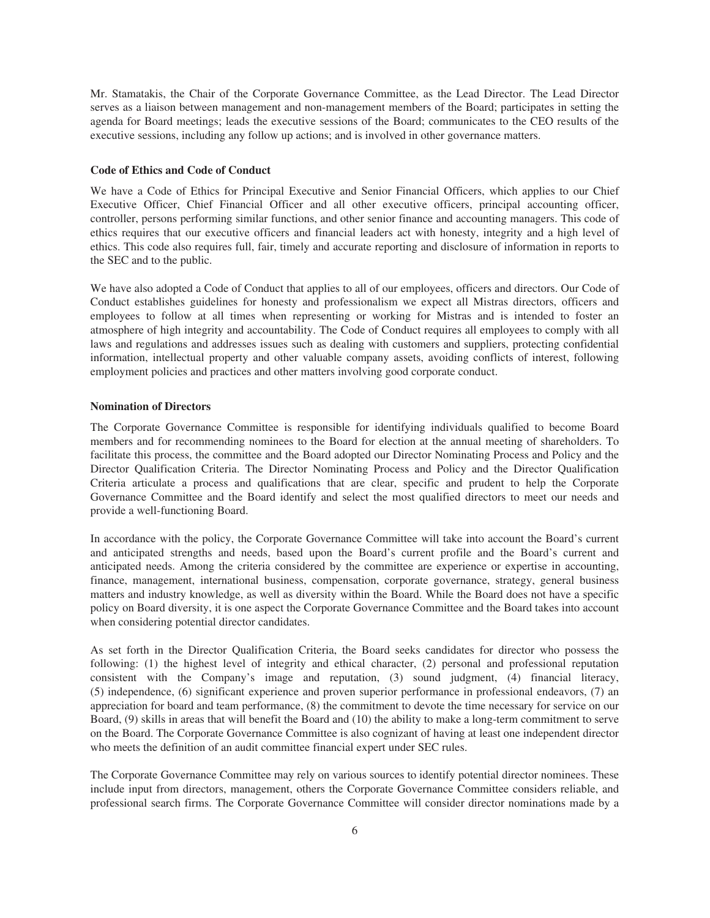Mr. Stamatakis, the Chair of the Corporate Governance Committee, as the Lead Director. The Lead Director serves as a liaison between management and non-management members of the Board; participates in setting the agenda for Board meetings; leads the executive sessions of the Board; communicates to the CEO results of the executive sessions, including any follow up actions; and is involved in other governance matters.

### **Code of Ethics and Code of Conduct**

We have a Code of Ethics for Principal Executive and Senior Financial Officers, which applies to our Chief Executive Officer, Chief Financial Officer and all other executive officers, principal accounting officer, controller, persons performing similar functions, and other senior finance and accounting managers. This code of ethics requires that our executive officers and financial leaders act with honesty, integrity and a high level of ethics. This code also requires full, fair, timely and accurate reporting and disclosure of information in reports to the SEC and to the public.

We have also adopted a Code of Conduct that applies to all of our employees, officers and directors. Our Code of Conduct establishes guidelines for honesty and professionalism we expect all Mistras directors, officers and employees to follow at all times when representing or working for Mistras and is intended to foster an atmosphere of high integrity and accountability. The Code of Conduct requires all employees to comply with all laws and regulations and addresses issues such as dealing with customers and suppliers, protecting confidential information, intellectual property and other valuable company assets, avoiding conflicts of interest, following employment policies and practices and other matters involving good corporate conduct.

#### **Nomination of Directors**

The Corporate Governance Committee is responsible for identifying individuals qualified to become Board members and for recommending nominees to the Board for election at the annual meeting of shareholders. To facilitate this process, the committee and the Board adopted our Director Nominating Process and Policy and the Director Qualification Criteria. The Director Nominating Process and Policy and the Director Qualification Criteria articulate a process and qualifications that are clear, specific and prudent to help the Corporate Governance Committee and the Board identify and select the most qualified directors to meet our needs and provide a well-functioning Board.

In accordance with the policy, the Corporate Governance Committee will take into account the Board's current and anticipated strengths and needs, based upon the Board's current profile and the Board's current and anticipated needs. Among the criteria considered by the committee are experience or expertise in accounting, finance, management, international business, compensation, corporate governance, strategy, general business matters and industry knowledge, as well as diversity within the Board. While the Board does not have a specific policy on Board diversity, it is one aspect the Corporate Governance Committee and the Board takes into account when considering potential director candidates.

As set forth in the Director Qualification Criteria, the Board seeks candidates for director who possess the following: (1) the highest level of integrity and ethical character, (2) personal and professional reputation consistent with the Company's image and reputation, (3) sound judgment, (4) financial literacy, (5) independence, (6) significant experience and proven superior performance in professional endeavors, (7) an appreciation for board and team performance, (8) the commitment to devote the time necessary for service on our Board, (9) skills in areas that will benefit the Board and (10) the ability to make a long-term commitment to serve on the Board. The Corporate Governance Committee is also cognizant of having at least one independent director who meets the definition of an audit committee financial expert under SEC rules.

The Corporate Governance Committee may rely on various sources to identify potential director nominees. These include input from directors, management, others the Corporate Governance Committee considers reliable, and professional search firms. The Corporate Governance Committee will consider director nominations made by a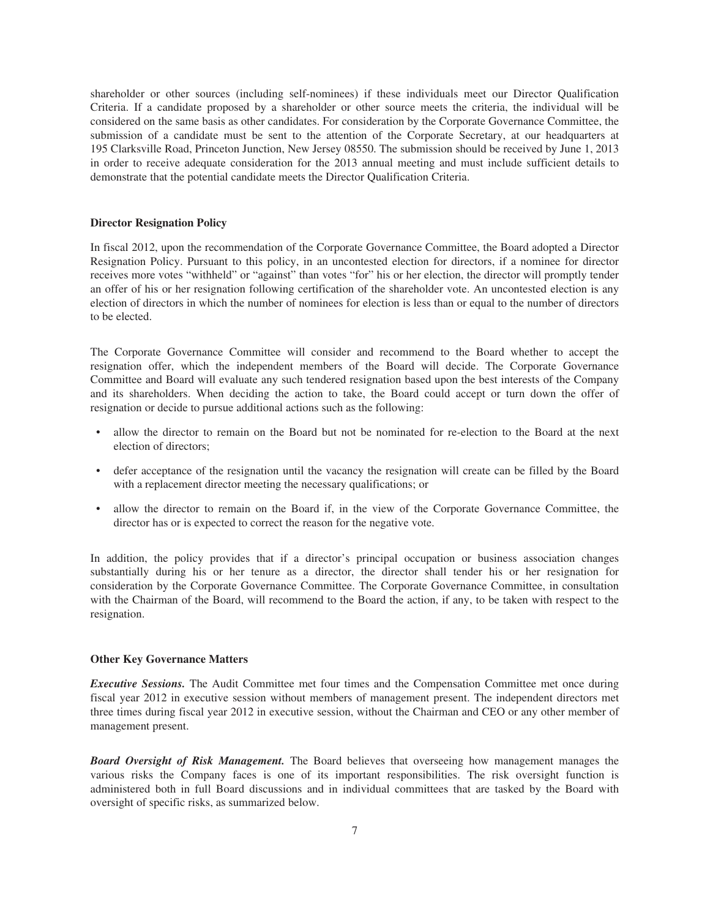shareholder or other sources (including self-nominees) if these individuals meet our Director Qualification Criteria. If a candidate proposed by a shareholder or other source meets the criteria, the individual will be considered on the same basis as other candidates. For consideration by the Corporate Governance Committee, the submission of a candidate must be sent to the attention of the Corporate Secretary, at our headquarters at 195 Clarksville Road, Princeton Junction, New Jersey 08550. The submission should be received by June 1, 2013 in order to receive adequate consideration for the 2013 annual meeting and must include sufficient details to demonstrate that the potential candidate meets the Director Qualification Criteria.

### **Director Resignation Policy**

In fiscal 2012, upon the recommendation of the Corporate Governance Committee, the Board adopted a Director Resignation Policy. Pursuant to this policy, in an uncontested election for directors, if a nominee for director receives more votes "withheld" or "against" than votes "for" his or her election, the director will promptly tender an offer of his or her resignation following certification of the shareholder vote. An uncontested election is any election of directors in which the number of nominees for election is less than or equal to the number of directors to be elected.

The Corporate Governance Committee will consider and recommend to the Board whether to accept the resignation offer, which the independent members of the Board will decide. The Corporate Governance Committee and Board will evaluate any such tendered resignation based upon the best interests of the Company and its shareholders. When deciding the action to take, the Board could accept or turn down the offer of resignation or decide to pursue additional actions such as the following:

- allow the director to remain on the Board but not be nominated for re-election to the Board at the next election of directors;
- defer acceptance of the resignation until the vacancy the resignation will create can be filled by the Board with a replacement director meeting the necessary qualifications; or
- allow the director to remain on the Board if, in the view of the Corporate Governance Committee, the director has or is expected to correct the reason for the negative vote.

In addition, the policy provides that if a director's principal occupation or business association changes substantially during his or her tenure as a director, the director shall tender his or her resignation for consideration by the Corporate Governance Committee. The Corporate Governance Committee, in consultation with the Chairman of the Board, will recommend to the Board the action, if any, to be taken with respect to the resignation.

#### **Other Key Governance Matters**

*Executive Sessions.* The Audit Committee met four times and the Compensation Committee met once during fiscal year 2012 in executive session without members of management present. The independent directors met three times during fiscal year 2012 in executive session, without the Chairman and CEO or any other member of management present.

*Board Oversight of Risk Management.* The Board believes that overseeing how management manages the various risks the Company faces is one of its important responsibilities. The risk oversight function is administered both in full Board discussions and in individual committees that are tasked by the Board with oversight of specific risks, as summarized below.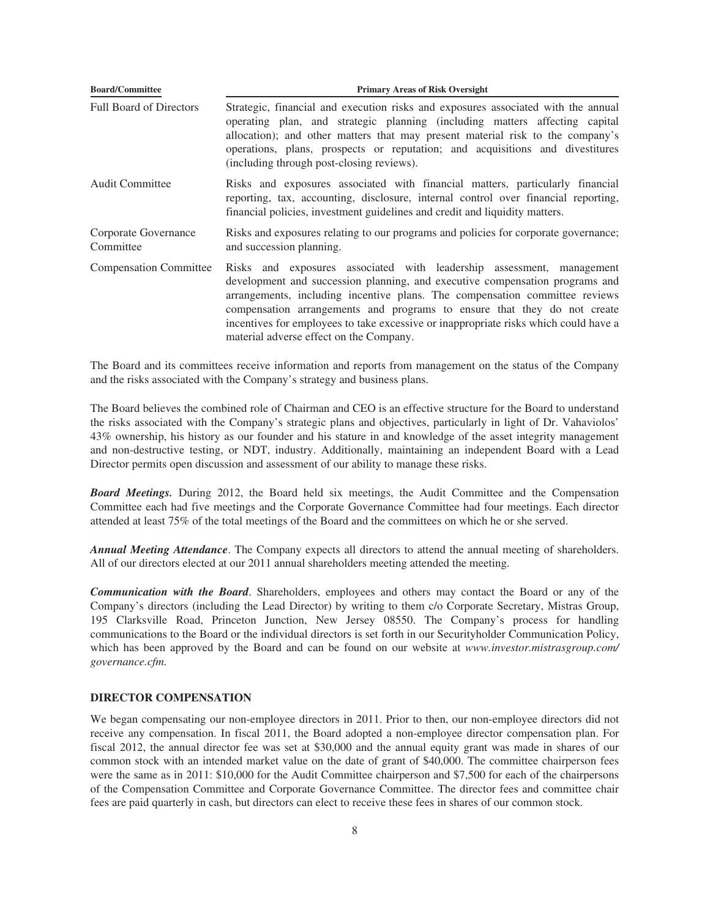| <b>Board/Committee</b>            | <b>Primary Areas of Risk Oversight</b>                                                                                                                                                                                                                                                                                                                                                                                                              |
|-----------------------------------|-----------------------------------------------------------------------------------------------------------------------------------------------------------------------------------------------------------------------------------------------------------------------------------------------------------------------------------------------------------------------------------------------------------------------------------------------------|
| <b>Full Board of Directors</b>    | Strategic, financial and execution risks and exposures associated with the annual<br>operating plan, and strategic planning (including matters affecting capital<br>allocation); and other matters that may present material risk to the company's<br>operations, plans, prospects or reputation; and acquisitions and divestitures<br>(including through post-closing reviews).                                                                    |
| <b>Audit Committee</b>            | Risks and exposures associated with financial matters, particularly financial<br>reporting, tax, accounting, disclosure, internal control over financial reporting,<br>financial policies, investment guidelines and credit and liquidity matters.                                                                                                                                                                                                  |
| Corporate Governance<br>Committee | Risks and exposures relating to our programs and policies for corporate governance;<br>and succession planning.                                                                                                                                                                                                                                                                                                                                     |
| <b>Compensation Committee</b>     | Risks and exposures associated with leadership assessment, management<br>development and succession planning, and executive compensation programs and<br>arrangements, including incentive plans. The compensation committee reviews<br>compensation arrangements and programs to ensure that they do not create<br>incentives for employees to take excessive or inappropriate risks which could have a<br>material adverse effect on the Company. |

The Board and its committees receive information and reports from management on the status of the Company and the risks associated with the Company's strategy and business plans.

The Board believes the combined role of Chairman and CEO is an effective structure for the Board to understand the risks associated with the Company's strategic plans and objectives, particularly in light of Dr. Vahaviolos' 43% ownership, his history as our founder and his stature in and knowledge of the asset integrity management and non-destructive testing, or NDT, industry. Additionally, maintaining an independent Board with a Lead Director permits open discussion and assessment of our ability to manage these risks.

*Board Meetings.* During 2012, the Board held six meetings, the Audit Committee and the Compensation Committee each had five meetings and the Corporate Governance Committee had four meetings. Each director attended at least 75% of the total meetings of the Board and the committees on which he or she served.

*Annual Meeting Attendance*. The Company expects all directors to attend the annual meeting of shareholders. All of our directors elected at our 2011 annual shareholders meeting attended the meeting.

*Communication with the Board*. Shareholders, employees and others may contact the Board or any of the Company's directors (including the Lead Director) by writing to them c/o Corporate Secretary, Mistras Group, 195 Clarksville Road, Princeton Junction, New Jersey 08550. The Company's process for handling communications to the Board or the individual directors is set forth in our Securityholder Communication Policy, which has been approved by the Board and can be found on our website at *www.investor.mistrasgroup.com/ governance.cfm.*

#### **DIRECTOR COMPENSATION**

We began compensating our non-employee directors in 2011. Prior to then, our non-employee directors did not receive any compensation. In fiscal 2011, the Board adopted a non-employee director compensation plan. For fiscal 2012, the annual director fee was set at \$30,000 and the annual equity grant was made in shares of our common stock with an intended market value on the date of grant of \$40,000. The committee chairperson fees were the same as in 2011: \$10,000 for the Audit Committee chairperson and \$7,500 for each of the chairpersons of the Compensation Committee and Corporate Governance Committee. The director fees and committee chair fees are paid quarterly in cash, but directors can elect to receive these fees in shares of our common stock.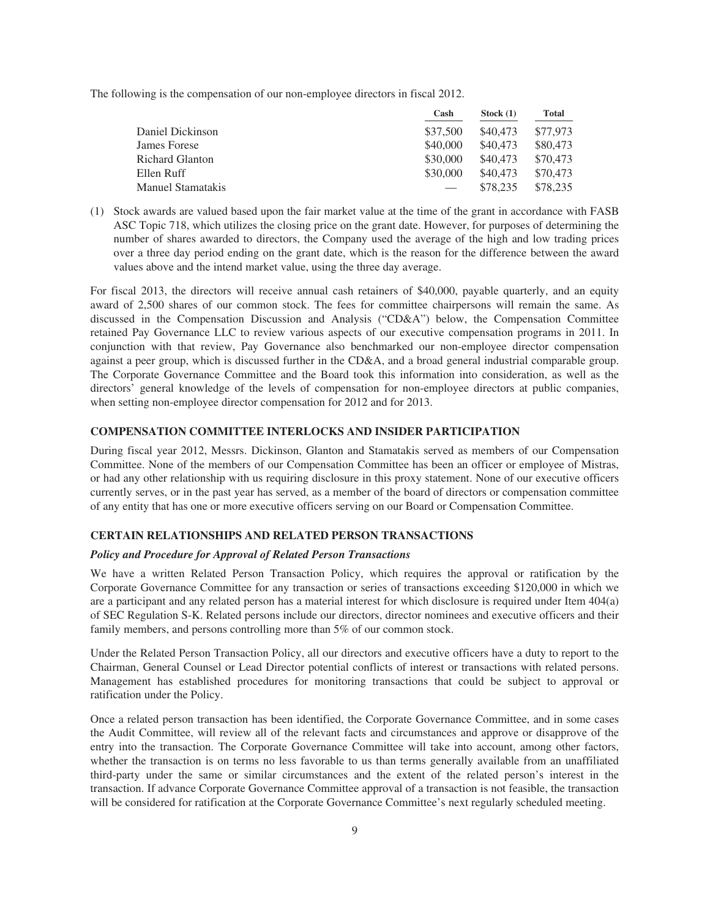The following is the compensation of our non-employee directors in fiscal 2012.

|                        | Cash     | Stock $(1)$ | <b>Total</b> |
|------------------------|----------|-------------|--------------|
| Daniel Dickinson       | \$37,500 | \$40,473    | \$77,973     |
| James Forese           | \$40,000 | \$40,473    | \$80,473     |
| <b>Richard Glanton</b> | \$30,000 | \$40,473    | \$70,473     |
| Ellen Ruff             | \$30,000 | \$40,473    | \$70,473     |
| Manuel Stamatakis      |          | \$78,235    | \$78.235     |

(1) Stock awards are valued based upon the fair market value at the time of the grant in accordance with FASB ASC Topic 718, which utilizes the closing price on the grant date. However, for purposes of determining the number of shares awarded to directors, the Company used the average of the high and low trading prices over a three day period ending on the grant date, which is the reason for the difference between the award values above and the intend market value, using the three day average.

For fiscal 2013, the directors will receive annual cash retainers of \$40,000, payable quarterly, and an equity award of 2,500 shares of our common stock. The fees for committee chairpersons will remain the same. As discussed in the Compensation Discussion and Analysis ("CD&A") below, the Compensation Committee retained Pay Governance LLC to review various aspects of our executive compensation programs in 2011. In conjunction with that review, Pay Governance also benchmarked our non-employee director compensation against a peer group, which is discussed further in the CD&A, and a broad general industrial comparable group. The Corporate Governance Committee and the Board took this information into consideration, as well as the directors' general knowledge of the levels of compensation for non-employee directors at public companies, when setting non-employee director compensation for 2012 and for 2013.

#### **COMPENSATION COMMITTEE INTERLOCKS AND INSIDER PARTICIPATION**

During fiscal year 2012, Messrs. Dickinson, Glanton and Stamatakis served as members of our Compensation Committee. None of the members of our Compensation Committee has been an officer or employee of Mistras, or had any other relationship with us requiring disclosure in this proxy statement. None of our executive officers currently serves, or in the past year has served, as a member of the board of directors or compensation committee of any entity that has one or more executive officers serving on our Board or Compensation Committee.

# **CERTAIN RELATIONSHIPS AND RELATED PERSON TRANSACTIONS**

### *Policy and Procedure for Approval of Related Person Transactions*

We have a written Related Person Transaction Policy, which requires the approval or ratification by the Corporate Governance Committee for any transaction or series of transactions exceeding \$120,000 in which we are a participant and any related person has a material interest for which disclosure is required under Item 404(a) of SEC Regulation S-K. Related persons include our directors, director nominees and executive officers and their family members, and persons controlling more than 5% of our common stock.

Under the Related Person Transaction Policy, all our directors and executive officers have a duty to report to the Chairman, General Counsel or Lead Director potential conflicts of interest or transactions with related persons. Management has established procedures for monitoring transactions that could be subject to approval or ratification under the Policy.

Once a related person transaction has been identified, the Corporate Governance Committee, and in some cases the Audit Committee, will review all of the relevant facts and circumstances and approve or disapprove of the entry into the transaction. The Corporate Governance Committee will take into account, among other factors, whether the transaction is on terms no less favorable to us than terms generally available from an unaffiliated third-party under the same or similar circumstances and the extent of the related person's interest in the transaction. If advance Corporate Governance Committee approval of a transaction is not feasible, the transaction will be considered for ratification at the Corporate Governance Committee's next regularly scheduled meeting.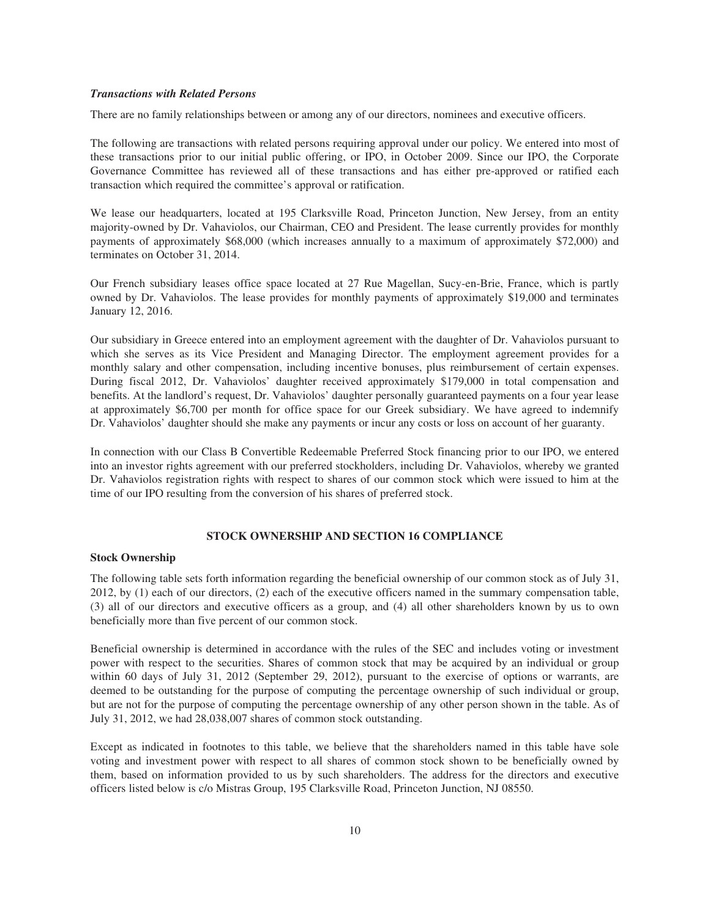### *Transactions with Related Persons*

There are no family relationships between or among any of our directors, nominees and executive officers.

The following are transactions with related persons requiring approval under our policy. We entered into most of these transactions prior to our initial public offering, or IPO, in October 2009. Since our IPO, the Corporate Governance Committee has reviewed all of these transactions and has either pre-approved or ratified each transaction which required the committee's approval or ratification.

We lease our headquarters, located at 195 Clarksville Road, Princeton Junction, New Jersey, from an entity majority-owned by Dr. Vahaviolos, our Chairman, CEO and President. The lease currently provides for monthly payments of approximately \$68,000 (which increases annually to a maximum of approximately \$72,000) and terminates on October 31, 2014.

Our French subsidiary leases office space located at 27 Rue Magellan, Sucy-en-Brie, France, which is partly owned by Dr. Vahaviolos. The lease provides for monthly payments of approximately \$19,000 and terminates January 12, 2016.

Our subsidiary in Greece entered into an employment agreement with the daughter of Dr. Vahaviolos pursuant to which she serves as its Vice President and Managing Director. The employment agreement provides for a monthly salary and other compensation, including incentive bonuses, plus reimbursement of certain expenses. During fiscal 2012, Dr. Vahaviolos' daughter received approximately \$179,000 in total compensation and benefits. At the landlord's request, Dr. Vahaviolos' daughter personally guaranteed payments on a four year lease at approximately \$6,700 per month for office space for our Greek subsidiary. We have agreed to indemnify Dr. Vahaviolos' daughter should she make any payments or incur any costs or loss on account of her guaranty.

In connection with our Class B Convertible Redeemable Preferred Stock financing prior to our IPO, we entered into an investor rights agreement with our preferred stockholders, including Dr. Vahaviolos, whereby we granted Dr. Vahaviolos registration rights with respect to shares of our common stock which were issued to him at the time of our IPO resulting from the conversion of his shares of preferred stock.

# **STOCK OWNERSHIP AND SECTION 16 COMPLIANCE**

## **Stock Ownership**

The following table sets forth information regarding the beneficial ownership of our common stock as of July 31, 2012, by (1) each of our directors, (2) each of the executive officers named in the summary compensation table, (3) all of our directors and executive officers as a group, and (4) all other shareholders known by us to own beneficially more than five percent of our common stock.

Beneficial ownership is determined in accordance with the rules of the SEC and includes voting or investment power with respect to the securities. Shares of common stock that may be acquired by an individual or group within 60 days of July 31, 2012 (September 29, 2012), pursuant to the exercise of options or warrants, are deemed to be outstanding for the purpose of computing the percentage ownership of such individual or group, but are not for the purpose of computing the percentage ownership of any other person shown in the table. As of July 31, 2012, we had 28,038,007 shares of common stock outstanding.

Except as indicated in footnotes to this table, we believe that the shareholders named in this table have sole voting and investment power with respect to all shares of common stock shown to be beneficially owned by them, based on information provided to us by such shareholders. The address for the directors and executive officers listed below is c/o Mistras Group, 195 Clarksville Road, Princeton Junction, NJ 08550.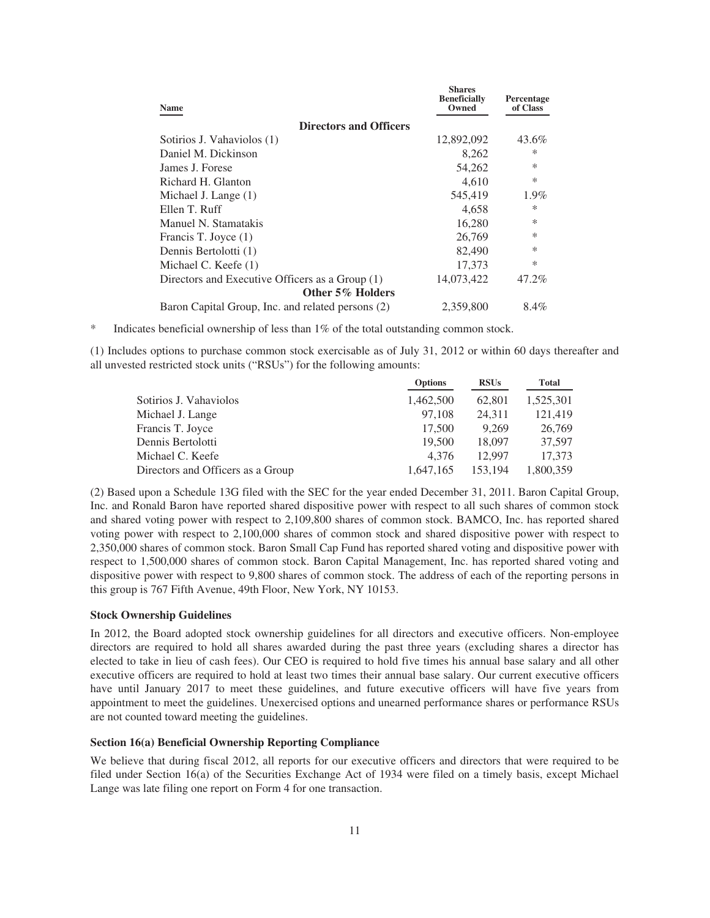| <b>Name</b>                                       | <b>Shares</b><br><b>Beneficially</b><br>Owned | Percentage<br>of Class |
|---------------------------------------------------|-----------------------------------------------|------------------------|
| <b>Directors and Officers</b>                     |                                               |                        |
| Sotirios J. Vahaviolos (1)                        | 12,892,092                                    | 43.6%                  |
| Daniel M. Dickinson                               | 8,262                                         | $\ast$                 |
| James J. Forese                                   | 54,262                                        | $\ast$                 |
| Richard H. Glanton                                | 4,610                                         | $\ast$                 |
| Michael J. Lange (1)                              | 545,419                                       | 1.9%                   |
| Ellen T. Ruff                                     | 4,658                                         | $\ast$                 |
| Manuel N. Stamatakis                              | 16,280                                        | $\ast$                 |
| Francis T. Joyce (1)                              | 26,769                                        | $\ast$                 |
| Dennis Bertolotti (1)                             | 82,490                                        | $\ast$                 |
| Michael C. Keefe (1)                              | 17,373                                        | $\ast$                 |
| Directors and Executive Officers as a Group (1)   | 14,073,422                                    | 47.2%                  |
| Other 5% Holders                                  |                                               |                        |
| Baron Capital Group, Inc. and related persons (2) | 2,359,800                                     | 8.4%                   |

Indicates beneficial ownership of less than  $1\%$  of the total outstanding common stock.

(1) Includes options to purchase common stock exercisable as of July 31, 2012 or within 60 days thereafter and all unvested restricted stock units ("RSUs") for the following amounts:

|                                   | <b>Options</b> | <b>RSUs</b> | Total     |
|-----------------------------------|----------------|-------------|-----------|
| Sotirios J. Vahaviolos            | 1,462,500      | 62,801      | 1,525,301 |
| Michael J. Lange                  | 97.108         | 24,311      | 121,419   |
| Francis T. Joyce                  | 17.500         | 9.269       | 26,769    |
| Dennis Bertolotti                 | 19.500         | 18,097      | 37,597    |
| Michael C. Keefe                  | 4.376          | 12.997      | 17.373    |
| Directors and Officers as a Group | 1.647.165      | 153,194     | 1,800,359 |

(2) Based upon a Schedule 13G filed with the SEC for the year ended December 31, 2011. Baron Capital Group, Inc. and Ronald Baron have reported shared dispositive power with respect to all such shares of common stock and shared voting power with respect to 2,109,800 shares of common stock. BAMCO, Inc. has reported shared voting power with respect to 2,100,000 shares of common stock and shared dispositive power with respect to 2,350,000 shares of common stock. Baron Small Cap Fund has reported shared voting and dispositive power with respect to 1,500,000 shares of common stock. Baron Capital Management, Inc. has reported shared voting and dispositive power with respect to 9,800 shares of common stock. The address of each of the reporting persons in this group is 767 Fifth Avenue, 49th Floor, New York, NY 10153.

# **Stock Ownership Guidelines**

In 2012, the Board adopted stock ownership guidelines for all directors and executive officers. Non-employee directors are required to hold all shares awarded during the past three years (excluding shares a director has elected to take in lieu of cash fees). Our CEO is required to hold five times his annual base salary and all other executive officers are required to hold at least two times their annual base salary. Our current executive officers have until January 2017 to meet these guidelines, and future executive officers will have five years from appointment to meet the guidelines. Unexercised options and unearned performance shares or performance RSUs are not counted toward meeting the guidelines.

#### **Section 16(a) Beneficial Ownership Reporting Compliance**

We believe that during fiscal 2012, all reports for our executive officers and directors that were required to be filed under Section 16(a) of the Securities Exchange Act of 1934 were filed on a timely basis, except Michael Lange was late filing one report on Form 4 for one transaction.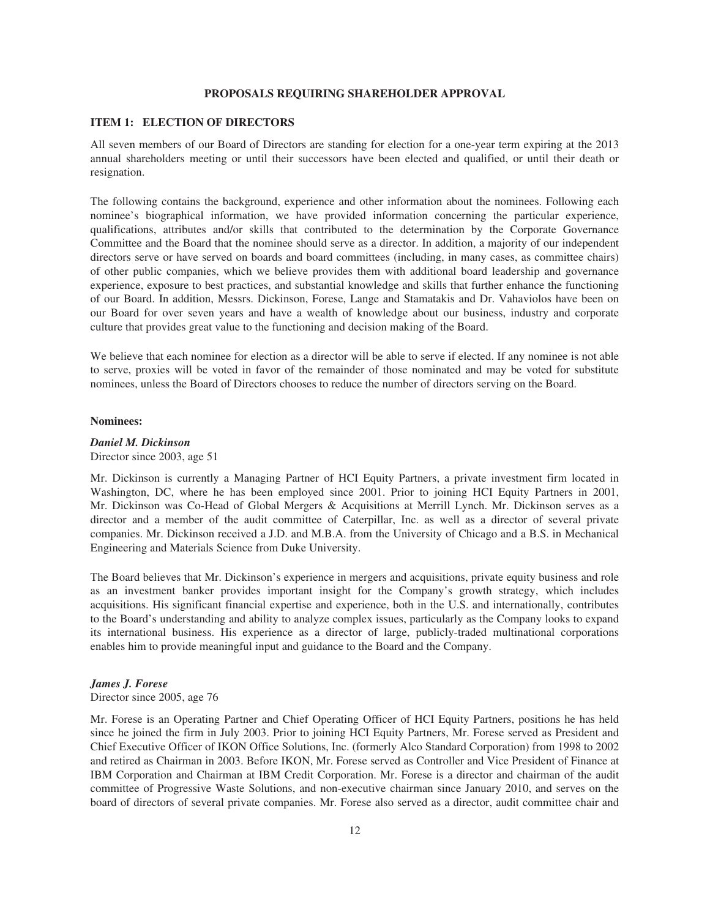### **PROPOSALS REQUIRING SHAREHOLDER APPROVAL**

## **ITEM 1: ELECTION OF DIRECTORS**

All seven members of our Board of Directors are standing for election for a one-year term expiring at the 2013 annual shareholders meeting or until their successors have been elected and qualified, or until their death or resignation.

The following contains the background, experience and other information about the nominees. Following each nominee's biographical information, we have provided information concerning the particular experience, qualifications, attributes and/or skills that contributed to the determination by the Corporate Governance Committee and the Board that the nominee should serve as a director. In addition, a majority of our independent directors serve or have served on boards and board committees (including, in many cases, as committee chairs) of other public companies, which we believe provides them with additional board leadership and governance experience, exposure to best practices, and substantial knowledge and skills that further enhance the functioning of our Board. In addition, Messrs. Dickinson, Forese, Lange and Stamatakis and Dr. Vahaviolos have been on our Board for over seven years and have a wealth of knowledge about our business, industry and corporate culture that provides great value to the functioning and decision making of the Board.

We believe that each nominee for election as a director will be able to serve if elected. If any nominee is not able to serve, proxies will be voted in favor of the remainder of those nominated and may be voted for substitute nominees, unless the Board of Directors chooses to reduce the number of directors serving on the Board.

#### **Nominees:**

# *Daniel M. Dickinson*

Director since 2003, age 51

Mr. Dickinson is currently a Managing Partner of HCI Equity Partners, a private investment firm located in Washington, DC, where he has been employed since 2001. Prior to joining HCI Equity Partners in 2001, Mr. Dickinson was Co-Head of Global Mergers & Acquisitions at Merrill Lynch. Mr. Dickinson serves as a director and a member of the audit committee of Caterpillar, Inc. as well as a director of several private companies. Mr. Dickinson received a J.D. and M.B.A. from the University of Chicago and a B.S. in Mechanical Engineering and Materials Science from Duke University.

The Board believes that Mr. Dickinson's experience in mergers and acquisitions, private equity business and role as an investment banker provides important insight for the Company's growth strategy, which includes acquisitions. His significant financial expertise and experience, both in the U.S. and internationally, contributes to the Board's understanding and ability to analyze complex issues, particularly as the Company looks to expand its international business. His experience as a director of large, publicly-traded multinational corporations enables him to provide meaningful input and guidance to the Board and the Company.

## *James J. Forese*

## Director since 2005, age 76

Mr. Forese is an Operating Partner and Chief Operating Officer of HCI Equity Partners, positions he has held since he joined the firm in July 2003. Prior to joining HCI Equity Partners, Mr. Forese served as President and Chief Executive Officer of IKON Office Solutions, Inc. (formerly Alco Standard Corporation) from 1998 to 2002 and retired as Chairman in 2003. Before IKON, Mr. Forese served as Controller and Vice President of Finance at IBM Corporation and Chairman at IBM Credit Corporation. Mr. Forese is a director and chairman of the audit committee of Progressive Waste Solutions, and non-executive chairman since January 2010, and serves on the board of directors of several private companies. Mr. Forese also served as a director, audit committee chair and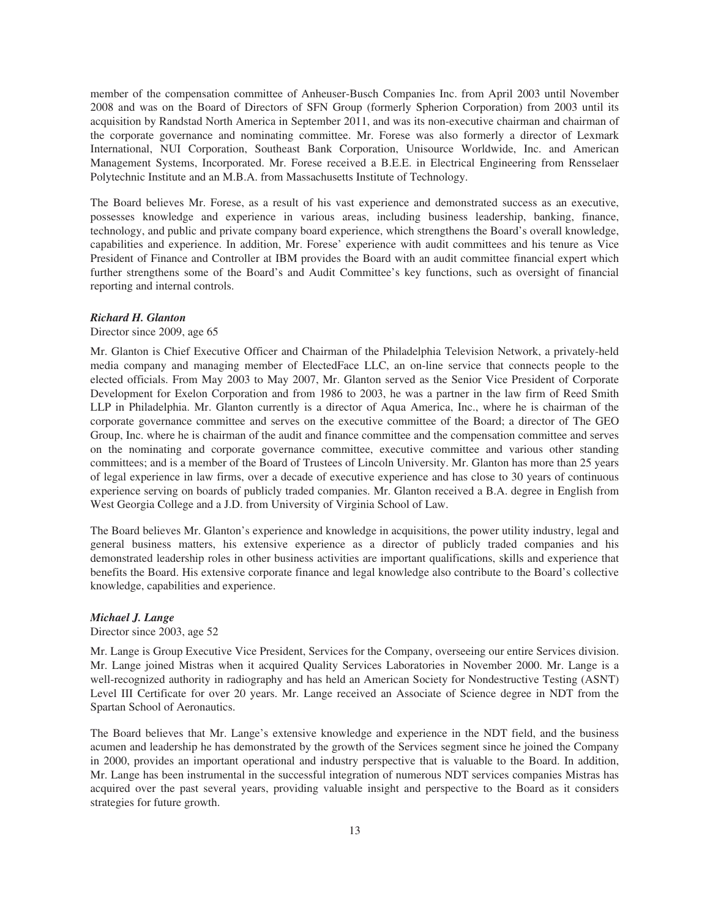member of the compensation committee of Anheuser-Busch Companies Inc. from April 2003 until November 2008 and was on the Board of Directors of SFN Group (formerly Spherion Corporation) from 2003 until its acquisition by Randstad North America in September 2011, and was its non-executive chairman and chairman of the corporate governance and nominating committee. Mr. Forese was also formerly a director of Lexmark International, NUI Corporation, Southeast Bank Corporation, Unisource Worldwide, Inc. and American Management Systems, Incorporated. Mr. Forese received a B.E.E. in Electrical Engineering from Rensselaer Polytechnic Institute and an M.B.A. from Massachusetts Institute of Technology.

The Board believes Mr. Forese, as a result of his vast experience and demonstrated success as an executive, possesses knowledge and experience in various areas, including business leadership, banking, finance, technology, and public and private company board experience, which strengthens the Board's overall knowledge, capabilities and experience. In addition, Mr. Forese' experience with audit committees and his tenure as Vice President of Finance and Controller at IBM provides the Board with an audit committee financial expert which further strengthens some of the Board's and Audit Committee's key functions, such as oversight of financial reporting and internal controls.

### *Richard H. Glanton*

### Director since 2009, age 65

Mr. Glanton is Chief Executive Officer and Chairman of the Philadelphia Television Network, a privately-held media company and managing member of ElectedFace LLC, an on-line service that connects people to the elected officials. From May 2003 to May 2007, Mr. Glanton served as the Senior Vice President of Corporate Development for Exelon Corporation and from 1986 to 2003, he was a partner in the law firm of Reed Smith LLP in Philadelphia. Mr. Glanton currently is a director of Aqua America, Inc., where he is chairman of the corporate governance committee and serves on the executive committee of the Board; a director of The GEO Group, Inc. where he is chairman of the audit and finance committee and the compensation committee and serves on the nominating and corporate governance committee, executive committee and various other standing committees; and is a member of the Board of Trustees of Lincoln University. Mr. Glanton has more than 25 years of legal experience in law firms, over a decade of executive experience and has close to 30 years of continuous experience serving on boards of publicly traded companies. Mr. Glanton received a B.A. degree in English from West Georgia College and a J.D. from University of Virginia School of Law.

The Board believes Mr. Glanton's experience and knowledge in acquisitions, the power utility industry, legal and general business matters, his extensive experience as a director of publicly traded companies and his demonstrated leadership roles in other business activities are important qualifications, skills and experience that benefits the Board. His extensive corporate finance and legal knowledge also contribute to the Board's collective knowledge, capabilities and experience.

## *Michael J. Lange*

Director since 2003, age 52

Mr. Lange is Group Executive Vice President, Services for the Company, overseeing our entire Services division. Mr. Lange joined Mistras when it acquired Quality Services Laboratories in November 2000. Mr. Lange is a well-recognized authority in radiography and has held an American Society for Nondestructive Testing (ASNT) Level III Certificate for over 20 years. Mr. Lange received an Associate of Science degree in NDT from the Spartan School of Aeronautics.

The Board believes that Mr. Lange's extensive knowledge and experience in the NDT field, and the business acumen and leadership he has demonstrated by the growth of the Services segment since he joined the Company in 2000, provides an important operational and industry perspective that is valuable to the Board. In addition, Mr. Lange has been instrumental in the successful integration of numerous NDT services companies Mistras has acquired over the past several years, providing valuable insight and perspective to the Board as it considers strategies for future growth.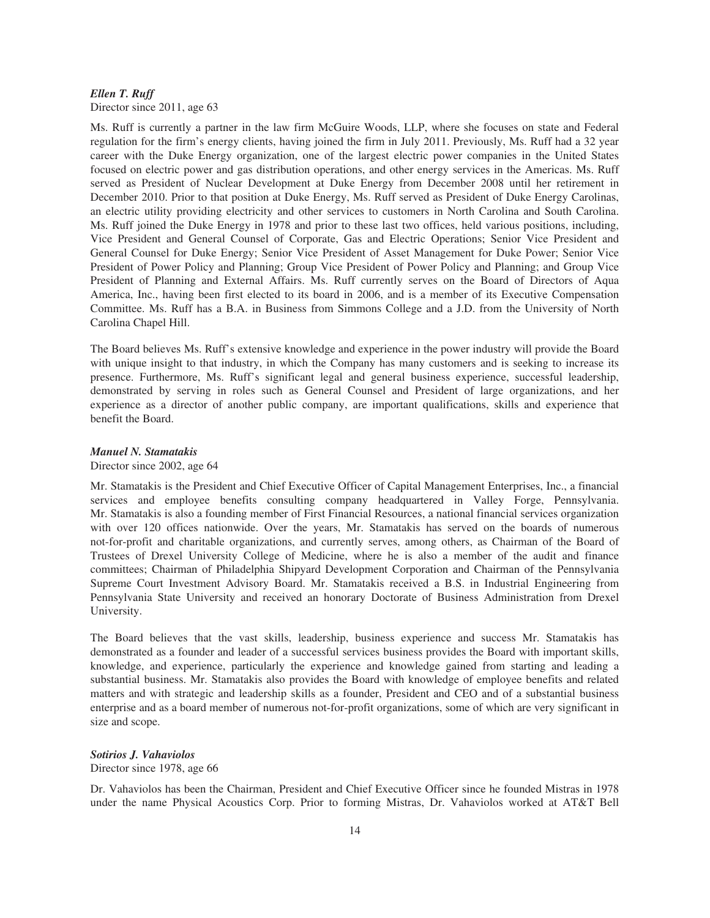# *Ellen T. Ruff*

Director since 2011, age 63

Ms. Ruff is currently a partner in the law firm McGuire Woods, LLP, where she focuses on state and Federal regulation for the firm's energy clients, having joined the firm in July 2011. Previously, Ms. Ruff had a 32 year career with the Duke Energy organization, one of the largest electric power companies in the United States focused on electric power and gas distribution operations, and other energy services in the Americas. Ms. Ruff served as President of Nuclear Development at Duke Energy from December 2008 until her retirement in December 2010. Prior to that position at Duke Energy, Ms. Ruff served as President of Duke Energy Carolinas, an electric utility providing electricity and other services to customers in North Carolina and South Carolina. Ms. Ruff joined the Duke Energy in 1978 and prior to these last two offices, held various positions, including, Vice President and General Counsel of Corporate, Gas and Electric Operations; Senior Vice President and General Counsel for Duke Energy; Senior Vice President of Asset Management for Duke Power; Senior Vice President of Power Policy and Planning; Group Vice President of Power Policy and Planning; and Group Vice President of Planning and External Affairs. Ms. Ruff currently serves on the Board of Directors of Aqua America, Inc., having been first elected to its board in 2006, and is a member of its Executive Compensation Committee. Ms. Ruff has a B.A. in Business from Simmons College and a J.D. from the University of North Carolina Chapel Hill.

The Board believes Ms. Ruff's extensive knowledge and experience in the power industry will provide the Board with unique insight to that industry, in which the Company has many customers and is seeking to increase its presence. Furthermore, Ms. Ruff's significant legal and general business experience, successful leadership, demonstrated by serving in roles such as General Counsel and President of large organizations, and her experience as a director of another public company, are important qualifications, skills and experience that benefit the Board.

# *Manuel N. Stamatakis*

Director since 2002, age 64

Mr. Stamatakis is the President and Chief Executive Officer of Capital Management Enterprises, Inc., a financial services and employee benefits consulting company headquartered in Valley Forge, Pennsylvania. Mr. Stamatakis is also a founding member of First Financial Resources, a national financial services organization with over 120 offices nationwide. Over the years, Mr. Stamatakis has served on the boards of numerous not-for-profit and charitable organizations, and currently serves, among others, as Chairman of the Board of Trustees of Drexel University College of Medicine, where he is also a member of the audit and finance committees; Chairman of Philadelphia Shipyard Development Corporation and Chairman of the Pennsylvania Supreme Court Investment Advisory Board. Mr. Stamatakis received a B.S. in Industrial Engineering from Pennsylvania State University and received an honorary Doctorate of Business Administration from Drexel University.

The Board believes that the vast skills, leadership, business experience and success Mr. Stamatakis has demonstrated as a founder and leader of a successful services business provides the Board with important skills, knowledge, and experience, particularly the experience and knowledge gained from starting and leading a substantial business. Mr. Stamatakis also provides the Board with knowledge of employee benefits and related matters and with strategic and leadership skills as a founder, President and CEO and of a substantial business enterprise and as a board member of numerous not-for-profit organizations, some of which are very significant in size and scope.

## *Sotirios J. Vahaviolos*

Director since 1978, age 66

Dr. Vahaviolos has been the Chairman, President and Chief Executive Officer since he founded Mistras in 1978 under the name Physical Acoustics Corp. Prior to forming Mistras, Dr. Vahaviolos worked at AT&T Bell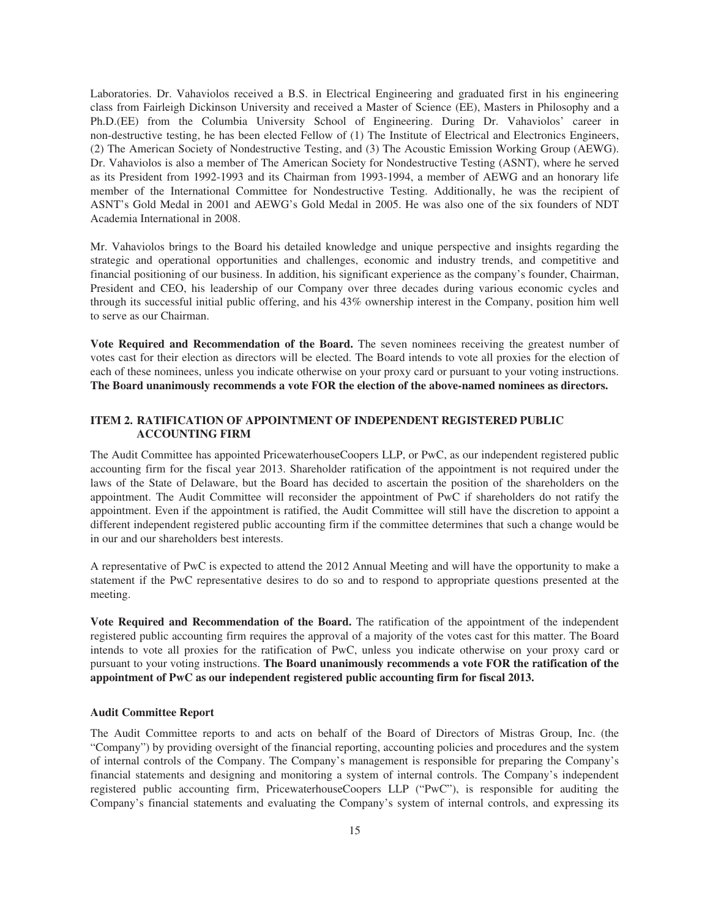Laboratories. Dr. Vahaviolos received a B.S. in Electrical Engineering and graduated first in his engineering class from Fairleigh Dickinson University and received a Master of Science (EE), Masters in Philosophy and a Ph.D.(EE) from the Columbia University School of Engineering. During Dr. Vahaviolos' career in non-destructive testing, he has been elected Fellow of (1) The Institute of Electrical and Electronics Engineers, (2) The American Society of Nondestructive Testing, and (3) The Acoustic Emission Working Group (AEWG). Dr. Vahaviolos is also a member of The American Society for Nondestructive Testing (ASNT), where he served as its President from 1992-1993 and its Chairman from 1993-1994, a member of AEWG and an honorary life member of the International Committee for Nondestructive Testing. Additionally, he was the recipient of ASNT's Gold Medal in 2001 and AEWG's Gold Medal in 2005. He was also one of the six founders of NDT Academia International in 2008.

Mr. Vahaviolos brings to the Board his detailed knowledge and unique perspective and insights regarding the strategic and operational opportunities and challenges, economic and industry trends, and competitive and financial positioning of our business. In addition, his significant experience as the company's founder, Chairman, President and CEO, his leadership of our Company over three decades during various economic cycles and through its successful initial public offering, and his 43% ownership interest in the Company, position him well to serve as our Chairman.

**Vote Required and Recommendation of the Board.** The seven nominees receiving the greatest number of votes cast for their election as directors will be elected. The Board intends to vote all proxies for the election of each of these nominees, unless you indicate otherwise on your proxy card or pursuant to your voting instructions. **The Board unanimously recommends a vote FOR the election of the above-named nominees as directors.**

# **ITEM 2. RATIFICATION OF APPOINTMENT OF INDEPENDENT REGISTERED PUBLIC ACCOUNTING FIRM**

The Audit Committee has appointed PricewaterhouseCoopers LLP, or PwC, as our independent registered public accounting firm for the fiscal year 2013. Shareholder ratification of the appointment is not required under the laws of the State of Delaware, but the Board has decided to ascertain the position of the shareholders on the appointment. The Audit Committee will reconsider the appointment of PwC if shareholders do not ratify the appointment. Even if the appointment is ratified, the Audit Committee will still have the discretion to appoint a different independent registered public accounting firm if the committee determines that such a change would be in our and our shareholders best interests.

A representative of PwC is expected to attend the 2012 Annual Meeting and will have the opportunity to make a statement if the PwC representative desires to do so and to respond to appropriate questions presented at the meeting.

**Vote Required and Recommendation of the Board.** The ratification of the appointment of the independent registered public accounting firm requires the approval of a majority of the votes cast for this matter. The Board intends to vote all proxies for the ratification of PwC, unless you indicate otherwise on your proxy card or pursuant to your voting instructions. **The Board unanimously recommends a vote FOR the ratification of the appointment of PwC as our independent registered public accounting firm for fiscal 2013.**

### **Audit Committee Report**

The Audit Committee reports to and acts on behalf of the Board of Directors of Mistras Group, Inc. (the "Company") by providing oversight of the financial reporting, accounting policies and procedures and the system of internal controls of the Company. The Company's management is responsible for preparing the Company's financial statements and designing and monitoring a system of internal controls. The Company's independent registered public accounting firm, PricewaterhouseCoopers LLP ("PwC"), is responsible for auditing the Company's financial statements and evaluating the Company's system of internal controls, and expressing its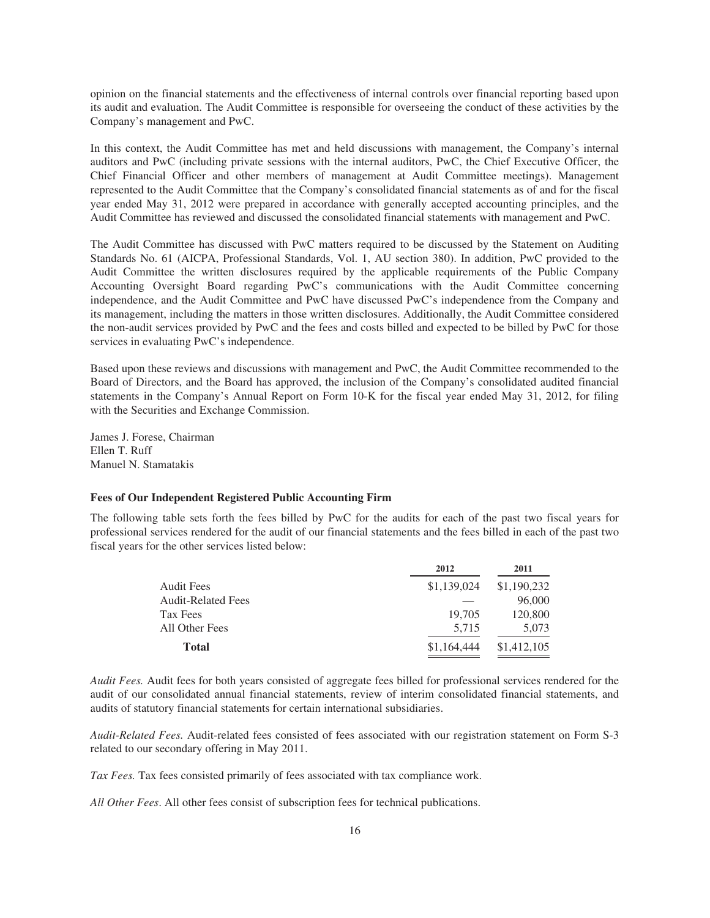opinion on the financial statements and the effectiveness of internal controls over financial reporting based upon its audit and evaluation. The Audit Committee is responsible for overseeing the conduct of these activities by the Company's management and PwC.

In this context, the Audit Committee has met and held discussions with management, the Company's internal auditors and PwC (including private sessions with the internal auditors, PwC, the Chief Executive Officer, the Chief Financial Officer and other members of management at Audit Committee meetings). Management represented to the Audit Committee that the Company's consolidated financial statements as of and for the fiscal year ended May 31, 2012 were prepared in accordance with generally accepted accounting principles, and the Audit Committee has reviewed and discussed the consolidated financial statements with management and PwC.

The Audit Committee has discussed with PwC matters required to be discussed by the Statement on Auditing Standards No. 61 (AICPA, Professional Standards, Vol. 1, AU section 380). In addition, PwC provided to the Audit Committee the written disclosures required by the applicable requirements of the Public Company Accounting Oversight Board regarding PwC's communications with the Audit Committee concerning independence, and the Audit Committee and PwC have discussed PwC's independence from the Company and its management, including the matters in those written disclosures. Additionally, the Audit Committee considered the non-audit services provided by PwC and the fees and costs billed and expected to be billed by PwC for those services in evaluating PwC's independence.

Based upon these reviews and discussions with management and PwC, the Audit Committee recommended to the Board of Directors, and the Board has approved, the inclusion of the Company's consolidated audited financial statements in the Company's Annual Report on Form 10-K for the fiscal year ended May 31, 2012, for filing with the Securities and Exchange Commission.

James J. Forese, Chairman Ellen T. Ruff Manuel N. Stamatakis

### **Fees of Our Independent Registered Public Accounting Firm**

The following table sets forth the fees billed by PwC for the audits for each of the past two fiscal years for professional services rendered for the audit of our financial statements and the fees billed in each of the past two fiscal years for the other services listed below:

|                           | 2012        | 2011        |
|---------------------------|-------------|-------------|
| <b>Audit Fees</b>         | \$1,139,024 | \$1,190,232 |
| <b>Audit-Related Fees</b> |             | 96,000      |
| Tax Fees                  | 19,705      | 120,800     |
| All Other Fees            | 5,715       | 5,073       |
| <b>Total</b>              | \$1,164,444 | \$1,412,105 |

*Audit Fees.* Audit fees for both years consisted of aggregate fees billed for professional services rendered for the audit of our consolidated annual financial statements, review of interim consolidated financial statements, and audits of statutory financial statements for certain international subsidiaries.

*Audit-Related Fees.* Audit-related fees consisted of fees associated with our registration statement on Form S-3 related to our secondary offering in May 2011.

*Tax Fees.* Tax fees consisted primarily of fees associated with tax compliance work.

*All Other Fees*. All other fees consist of subscription fees for technical publications.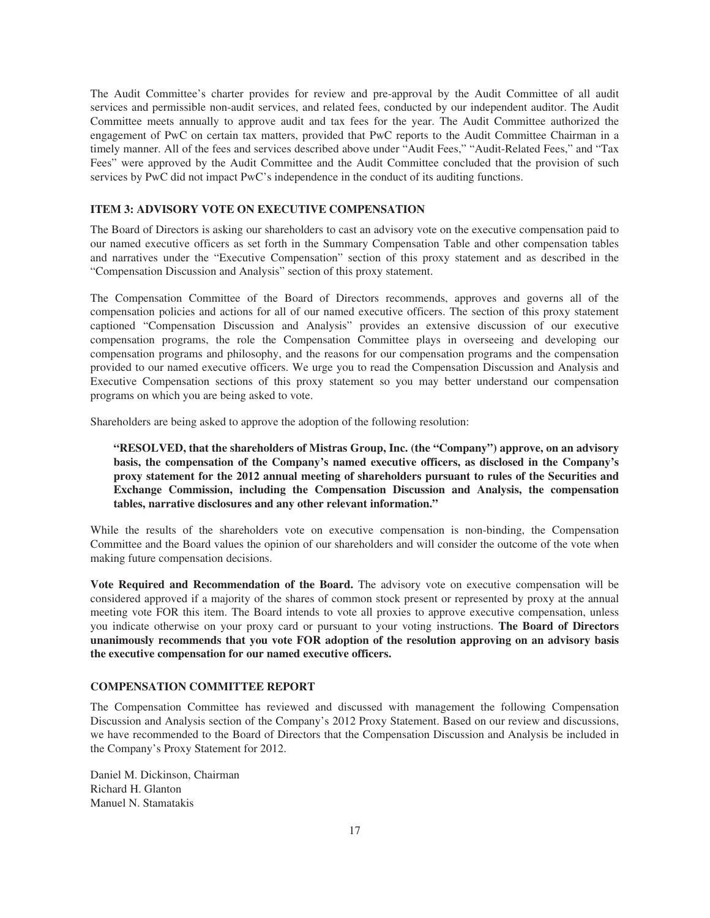The Audit Committee's charter provides for review and pre-approval by the Audit Committee of all audit services and permissible non-audit services, and related fees, conducted by our independent auditor. The Audit Committee meets annually to approve audit and tax fees for the year. The Audit Committee authorized the engagement of PwC on certain tax matters, provided that PwC reports to the Audit Committee Chairman in a timely manner. All of the fees and services described above under "Audit Fees," "Audit-Related Fees," and "Tax Fees" were approved by the Audit Committee and the Audit Committee concluded that the provision of such services by PwC did not impact PwC's independence in the conduct of its auditing functions.

# **ITEM 3: ADVISORY VOTE ON EXECUTIVE COMPENSATION**

The Board of Directors is asking our shareholders to cast an advisory vote on the executive compensation paid to our named executive officers as set forth in the Summary Compensation Table and other compensation tables and narratives under the "Executive Compensation" section of this proxy statement and as described in the "Compensation Discussion and Analysis" section of this proxy statement.

The Compensation Committee of the Board of Directors recommends, approves and governs all of the compensation policies and actions for all of our named executive officers. The section of this proxy statement captioned "Compensation Discussion and Analysis" provides an extensive discussion of our executive compensation programs, the role the Compensation Committee plays in overseeing and developing our compensation programs and philosophy, and the reasons for our compensation programs and the compensation provided to our named executive officers. We urge you to read the Compensation Discussion and Analysis and Executive Compensation sections of this proxy statement so you may better understand our compensation programs on which you are being asked to vote.

Shareholders are being asked to approve the adoption of the following resolution:

**"RESOLVED, that the shareholders of Mistras Group, Inc. (the "Company") approve, on an advisory basis, the compensation of the Company's named executive officers, as disclosed in the Company's proxy statement for the 2012 annual meeting of shareholders pursuant to rules of the Securities and Exchange Commission, including the Compensation Discussion and Analysis, the compensation tables, narrative disclosures and any other relevant information."**

While the results of the shareholders vote on executive compensation is non-binding, the Compensation Committee and the Board values the opinion of our shareholders and will consider the outcome of the vote when making future compensation decisions.

**Vote Required and Recommendation of the Board.** The advisory vote on executive compensation will be considered approved if a majority of the shares of common stock present or represented by proxy at the annual meeting vote FOR this item. The Board intends to vote all proxies to approve executive compensation, unless you indicate otherwise on your proxy card or pursuant to your voting instructions. **The Board of Directors unanimously recommends that you vote FOR adoption of the resolution approving on an advisory basis the executive compensation for our named executive officers.**

# **COMPENSATION COMMITTEE REPORT**

The Compensation Committee has reviewed and discussed with management the following Compensation Discussion and Analysis section of the Company's 2012 Proxy Statement. Based on our review and discussions, we have recommended to the Board of Directors that the Compensation Discussion and Analysis be included in the Company's Proxy Statement for 2012.

Daniel M. Dickinson, Chairman Richard H. Glanton Manuel N. Stamatakis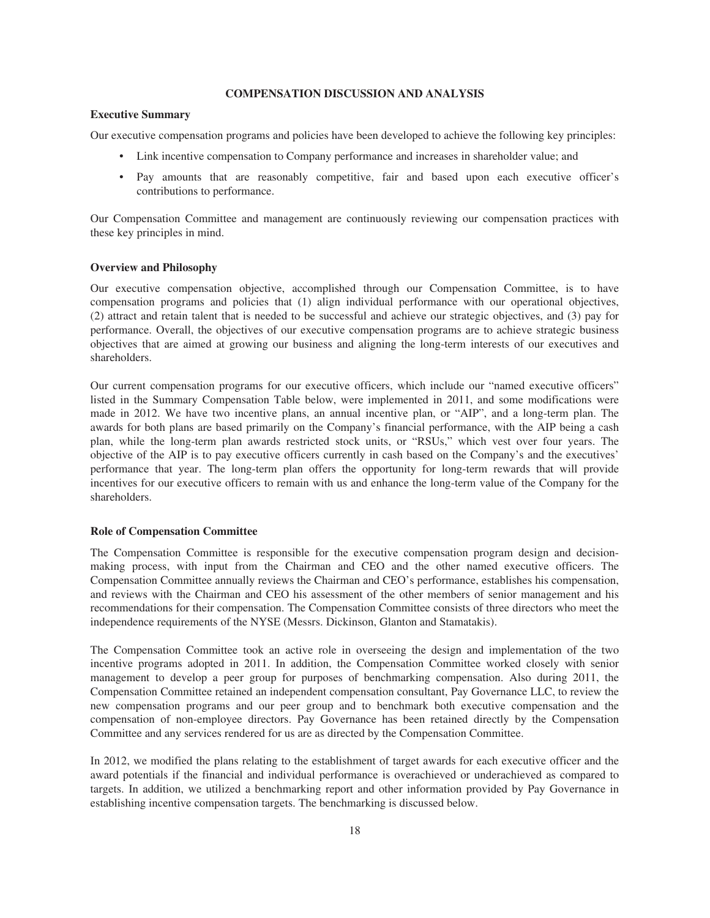### **COMPENSATION DISCUSSION AND ANALYSIS**

#### **Executive Summary**

Our executive compensation programs and policies have been developed to achieve the following key principles:

- Link incentive compensation to Company performance and increases in shareholder value; and
- Pay amounts that are reasonably competitive, fair and based upon each executive officer's contributions to performance.

Our Compensation Committee and management are continuously reviewing our compensation practices with these key principles in mind.

## **Overview and Philosophy**

Our executive compensation objective, accomplished through our Compensation Committee, is to have compensation programs and policies that (1) align individual performance with our operational objectives, (2) attract and retain talent that is needed to be successful and achieve our strategic objectives, and (3) pay for performance. Overall, the objectives of our executive compensation programs are to achieve strategic business objectives that are aimed at growing our business and aligning the long-term interests of our executives and shareholders.

Our current compensation programs for our executive officers, which include our "named executive officers" listed in the Summary Compensation Table below, were implemented in 2011, and some modifications were made in 2012. We have two incentive plans, an annual incentive plan, or "AIP", and a long-term plan. The awards for both plans are based primarily on the Company's financial performance, with the AIP being a cash plan, while the long-term plan awards restricted stock units, or "RSUs," which vest over four years. The objective of the AIP is to pay executive officers currently in cash based on the Company's and the executives' performance that year. The long-term plan offers the opportunity for long-term rewards that will provide incentives for our executive officers to remain with us and enhance the long-term value of the Company for the shareholders.

#### **Role of Compensation Committee**

The Compensation Committee is responsible for the executive compensation program design and decisionmaking process, with input from the Chairman and CEO and the other named executive officers. The Compensation Committee annually reviews the Chairman and CEO's performance, establishes his compensation, and reviews with the Chairman and CEO his assessment of the other members of senior management and his recommendations for their compensation. The Compensation Committee consists of three directors who meet the independence requirements of the NYSE (Messrs. Dickinson, Glanton and Stamatakis).

The Compensation Committee took an active role in overseeing the design and implementation of the two incentive programs adopted in 2011. In addition, the Compensation Committee worked closely with senior management to develop a peer group for purposes of benchmarking compensation. Also during 2011, the Compensation Committee retained an independent compensation consultant, Pay Governance LLC, to review the new compensation programs and our peer group and to benchmark both executive compensation and the compensation of non-employee directors. Pay Governance has been retained directly by the Compensation Committee and any services rendered for us are as directed by the Compensation Committee.

In 2012, we modified the plans relating to the establishment of target awards for each executive officer and the award potentials if the financial and individual performance is overachieved or underachieved as compared to targets. In addition, we utilized a benchmarking report and other information provided by Pay Governance in establishing incentive compensation targets. The benchmarking is discussed below.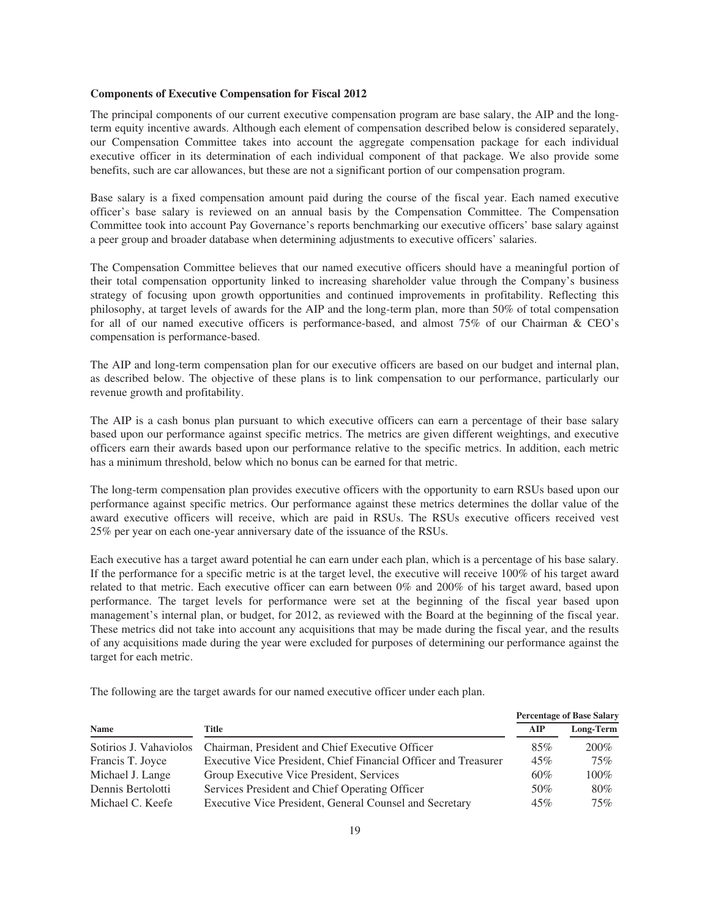#### **Components of Executive Compensation for Fiscal 2012**

The principal components of our current executive compensation program are base salary, the AIP and the longterm equity incentive awards. Although each element of compensation described below is considered separately, our Compensation Committee takes into account the aggregate compensation package for each individual executive officer in its determination of each individual component of that package. We also provide some benefits, such are car allowances, but these are not a significant portion of our compensation program.

Base salary is a fixed compensation amount paid during the course of the fiscal year. Each named executive officer's base salary is reviewed on an annual basis by the Compensation Committee. The Compensation Committee took into account Pay Governance's reports benchmarking our executive officers' base salary against a peer group and broader database when determining adjustments to executive officers' salaries.

The Compensation Committee believes that our named executive officers should have a meaningful portion of their total compensation opportunity linked to increasing shareholder value through the Company's business strategy of focusing upon growth opportunities and continued improvements in profitability. Reflecting this philosophy, at target levels of awards for the AIP and the long-term plan, more than 50% of total compensation for all of our named executive officers is performance-based, and almost 75% of our Chairman & CEO's compensation is performance-based.

The AIP and long-term compensation plan for our executive officers are based on our budget and internal plan, as described below. The objective of these plans is to link compensation to our performance, particularly our revenue growth and profitability.

The AIP is a cash bonus plan pursuant to which executive officers can earn a percentage of their base salary based upon our performance against specific metrics. The metrics are given different weightings, and executive officers earn their awards based upon our performance relative to the specific metrics. In addition, each metric has a minimum threshold, below which no bonus can be earned for that metric.

The long-term compensation plan provides executive officers with the opportunity to earn RSUs based upon our performance against specific metrics. Our performance against these metrics determines the dollar value of the award executive officers will receive, which are paid in RSUs. The RSUs executive officers received vest 25% per year on each one-year anniversary date of the issuance of the RSUs.

Each executive has a target award potential he can earn under each plan, which is a percentage of his base salary. If the performance for a specific metric is at the target level, the executive will receive 100% of his target award related to that metric. Each executive officer can earn between 0% and 200% of his target award, based upon performance. The target levels for performance were set at the beginning of the fiscal year based upon management's internal plan, or budget, for 2012, as reviewed with the Board at the beginning of the fiscal year. These metrics did not take into account any acquisitions that may be made during the fiscal year, and the results of any acquisitions made during the year were excluded for purposes of determining our performance against the target for each metric.

|                        |                                                                 |     | <b>Percentage of Base Salary</b> |
|------------------------|-----------------------------------------------------------------|-----|----------------------------------|
| <b>Name</b>            | Title                                                           | AIP | Long-Term                        |
| Sotirios J. Vahaviolos | Chairman, President and Chief Executive Officer                 | 85% | 200%                             |
| Francis T. Joyce       | Executive Vice President, Chief Financial Officer and Treasurer | 45% | 75%                              |
| Michael J. Lange       | Group Executive Vice President, Services                        | 60% | $100\%$                          |
| Dennis Bertolotti      | Services President and Chief Operating Officer                  | 50% | 80%                              |
| Michael C. Keefe       | Executive Vice President, General Counsel and Secretary         | 45% | $75\%$                           |

The following are the target awards for our named executive officer under each plan.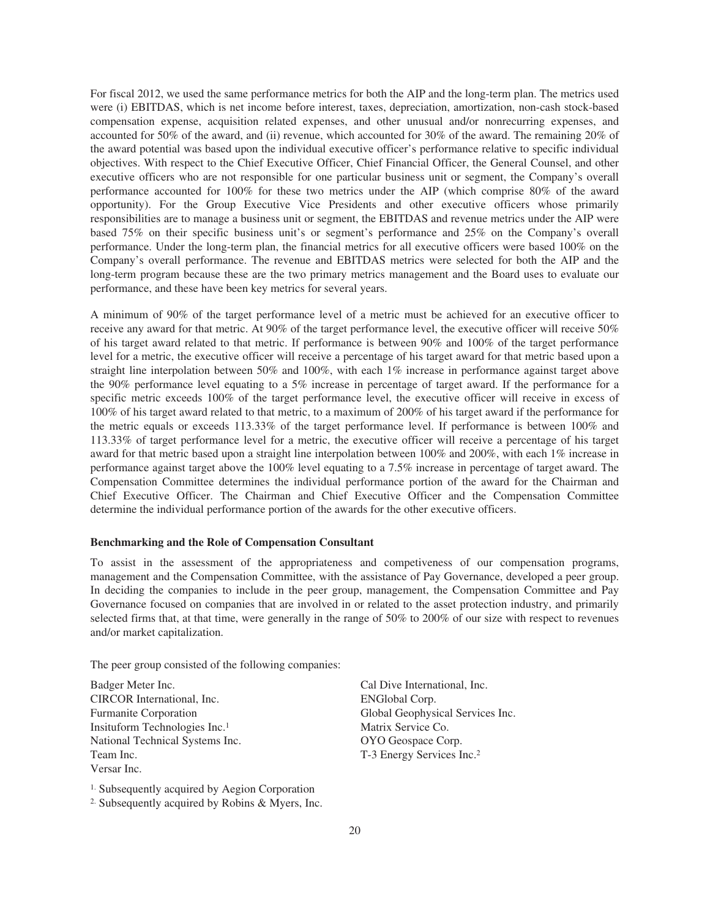For fiscal 2012, we used the same performance metrics for both the AIP and the long-term plan. The metrics used were (i) EBITDAS, which is net income before interest, taxes, depreciation, amortization, non-cash stock-based compensation expense, acquisition related expenses, and other unusual and/or nonrecurring expenses, and accounted for 50% of the award, and (ii) revenue, which accounted for 30% of the award. The remaining 20% of the award potential was based upon the individual executive officer's performance relative to specific individual objectives. With respect to the Chief Executive Officer, Chief Financial Officer, the General Counsel, and other executive officers who are not responsible for one particular business unit or segment, the Company's overall performance accounted for 100% for these two metrics under the AIP (which comprise 80% of the award opportunity). For the Group Executive Vice Presidents and other executive officers whose primarily responsibilities are to manage a business unit or segment, the EBITDAS and revenue metrics under the AIP were based 75% on their specific business unit's or segment's performance and 25% on the Company's overall performance. Under the long-term plan, the financial metrics for all executive officers were based 100% on the Company's overall performance. The revenue and EBITDAS metrics were selected for both the AIP and the long-term program because these are the two primary metrics management and the Board uses to evaluate our performance, and these have been key metrics for several years.

A minimum of 90% of the target performance level of a metric must be achieved for an executive officer to receive any award for that metric. At 90% of the target performance level, the executive officer will receive 50% of his target award related to that metric. If performance is between 90% and 100% of the target performance level for a metric, the executive officer will receive a percentage of his target award for that metric based upon a straight line interpolation between 50% and 100%, with each 1% increase in performance against target above the 90% performance level equating to a 5% increase in percentage of target award. If the performance for a specific metric exceeds 100% of the target performance level, the executive officer will receive in excess of 100% of his target award related to that metric, to a maximum of 200% of his target award if the performance for the metric equals or exceeds 113.33% of the target performance level. If performance is between 100% and 113.33% of target performance level for a metric, the executive officer will receive a percentage of his target award for that metric based upon a straight line interpolation between 100% and 200%, with each 1% increase in performance against target above the 100% level equating to a 7.5% increase in percentage of target award. The Compensation Committee determines the individual performance portion of the award for the Chairman and Chief Executive Officer. The Chairman and Chief Executive Officer and the Compensation Committee determine the individual performance portion of the awards for the other executive officers.

### **Benchmarking and the Role of Compensation Consultant**

To assist in the assessment of the appropriateness and competiveness of our compensation programs, management and the Compensation Committee, with the assistance of Pay Governance, developed a peer group. In deciding the companies to include in the peer group, management, the Compensation Committee and Pay Governance focused on companies that are involved in or related to the asset protection industry, and primarily selected firms that, at that time, were generally in the range of 50% to 200% of our size with respect to revenues and/or market capitalization.

The peer group consisted of the following companies:

CIRCOR International, Inc. ENGlobal Corp. Furmanite Corporation **Global Geophysical Services Inc.** Insituform Technologies Inc.<sup>1</sup> Matrix Service Co. National Technical Systems Inc. 0YO Geospace Corp. Team Inc. The Team Inc. The Team Inc. The Team Inc. 2 Versar Inc.

1. Subsequently acquired by Aegion Corporation

2. Subsequently acquired by Robins & Myers, Inc.

Badger Meter Inc. Cal Dive International, Inc.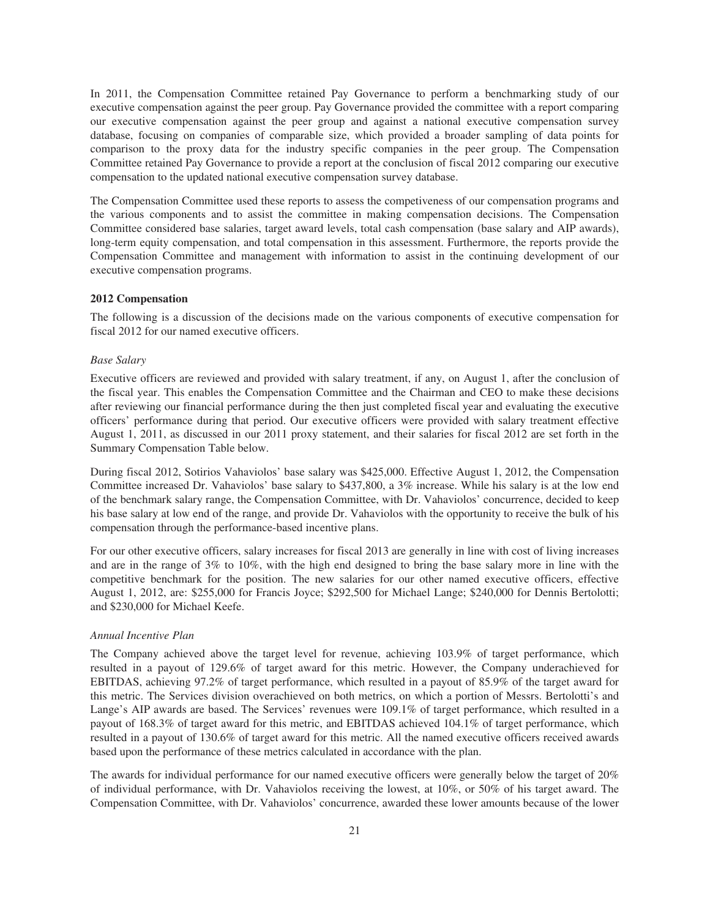In 2011, the Compensation Committee retained Pay Governance to perform a benchmarking study of our executive compensation against the peer group. Pay Governance provided the committee with a report comparing our executive compensation against the peer group and against a national executive compensation survey database, focusing on companies of comparable size, which provided a broader sampling of data points for comparison to the proxy data for the industry specific companies in the peer group. The Compensation Committee retained Pay Governance to provide a report at the conclusion of fiscal 2012 comparing our executive compensation to the updated national executive compensation survey database.

The Compensation Committee used these reports to assess the competiveness of our compensation programs and the various components and to assist the committee in making compensation decisions. The Compensation Committee considered base salaries, target award levels, total cash compensation (base salary and AIP awards), long-term equity compensation, and total compensation in this assessment. Furthermore, the reports provide the Compensation Committee and management with information to assist in the continuing development of our executive compensation programs.

### **2012 Compensation**

The following is a discussion of the decisions made on the various components of executive compensation for fiscal 2012 for our named executive officers.

#### *Base Salary*

Executive officers are reviewed and provided with salary treatment, if any, on August 1, after the conclusion of the fiscal year. This enables the Compensation Committee and the Chairman and CEO to make these decisions after reviewing our financial performance during the then just completed fiscal year and evaluating the executive officers' performance during that period. Our executive officers were provided with salary treatment effective August 1, 2011, as discussed in our 2011 proxy statement, and their salaries for fiscal 2012 are set forth in the Summary Compensation Table below.

During fiscal 2012, Sotirios Vahaviolos' base salary was \$425,000. Effective August 1, 2012, the Compensation Committee increased Dr. Vahaviolos' base salary to \$437,800, a 3% increase. While his salary is at the low end of the benchmark salary range, the Compensation Committee, with Dr. Vahaviolos' concurrence, decided to keep his base salary at low end of the range, and provide Dr. Vahaviolos with the opportunity to receive the bulk of his compensation through the performance-based incentive plans.

For our other executive officers, salary increases for fiscal 2013 are generally in line with cost of living increases and are in the range of 3% to 10%, with the high end designed to bring the base salary more in line with the competitive benchmark for the position. The new salaries for our other named executive officers, effective August 1, 2012, are: \$255,000 for Francis Joyce; \$292,500 for Michael Lange; \$240,000 for Dennis Bertolotti; and \$230,000 for Michael Keefe.

#### *Annual Incentive Plan*

The Company achieved above the target level for revenue, achieving 103.9% of target performance, which resulted in a payout of 129.6% of target award for this metric. However, the Company underachieved for EBITDAS, achieving 97.2% of target performance, which resulted in a payout of 85.9% of the target award for this metric. The Services division overachieved on both metrics, on which a portion of Messrs. Bertolotti's and Lange's AIP awards are based. The Services' revenues were 109.1% of target performance, which resulted in a payout of 168.3% of target award for this metric, and EBITDAS achieved 104.1% of target performance, which resulted in a payout of 130.6% of target award for this metric. All the named executive officers received awards based upon the performance of these metrics calculated in accordance with the plan.

The awards for individual performance for our named executive officers were generally below the target of 20% of individual performance, with Dr. Vahaviolos receiving the lowest, at 10%, or 50% of his target award. The Compensation Committee, with Dr. Vahaviolos' concurrence, awarded these lower amounts because of the lower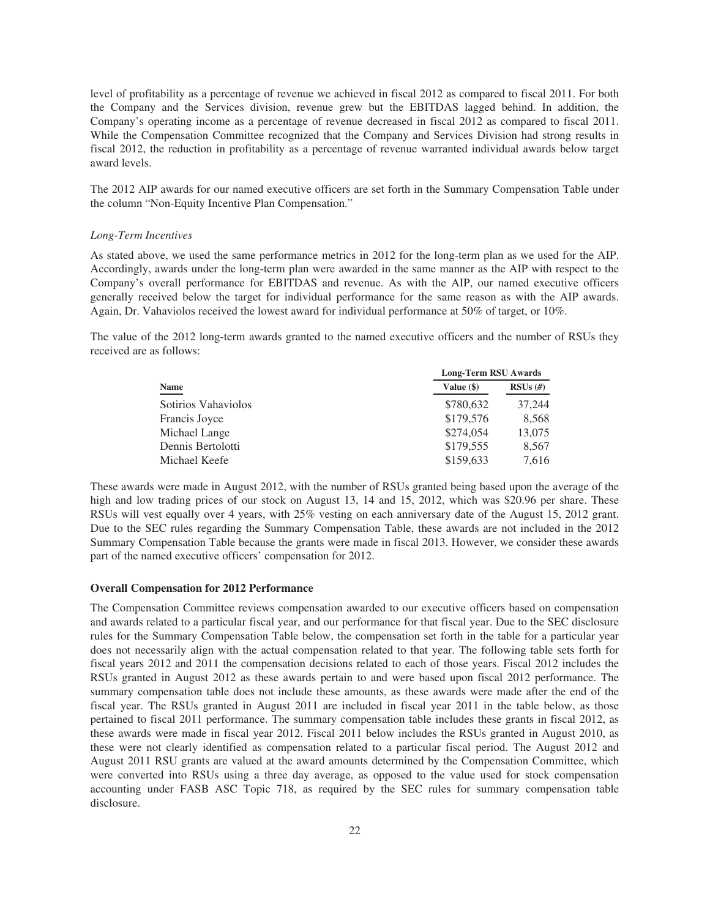level of profitability as a percentage of revenue we achieved in fiscal 2012 as compared to fiscal 2011. For both the Company and the Services division, revenue grew but the EBITDAS lagged behind. In addition, the Company's operating income as a percentage of revenue decreased in fiscal 2012 as compared to fiscal 2011. While the Compensation Committee recognized that the Company and Services Division had strong results in fiscal 2012, the reduction in profitability as a percentage of revenue warranted individual awards below target award levels.

The 2012 AIP awards for our named executive officers are set forth in the Summary Compensation Table under the column "Non-Equity Incentive Plan Compensation."

## *Long-Term Incentives*

As stated above, we used the same performance metrics in 2012 for the long-term plan as we used for the AIP. Accordingly, awards under the long-term plan were awarded in the same manner as the AIP with respect to the Company's overall performance for EBITDAS and revenue. As with the AIP, our named executive officers generally received below the target for individual performance for the same reason as with the AIP awards. Again, Dr. Vahaviolos received the lowest award for individual performance at 50% of target, or 10%.

The value of the 2012 long-term awards granted to the named executive officers and the number of RSUs they received are as follows:

|                     | <b>Long-Term RSU Awards</b> |            |  |  |
|---------------------|-----------------------------|------------|--|--|
| <b>Name</b>         | Value $(\$)$                | $RSUs$ (#) |  |  |
| Sotirios Vahaviolos | \$780,632                   | 37,244     |  |  |
| Francis Joyce       | \$179,576                   | 8,568      |  |  |
| Michael Lange       | \$274,054                   | 13,075     |  |  |
| Dennis Bertolotti   | \$179,555                   | 8,567      |  |  |
| Michael Keefe       | \$159,633                   | 7,616      |  |  |

These awards were made in August 2012, with the number of RSUs granted being based upon the average of the high and low trading prices of our stock on August 13, 14 and 15, 2012, which was \$20.96 per share. These RSUs will vest equally over 4 years, with 25% vesting on each anniversary date of the August 15, 2012 grant. Due to the SEC rules regarding the Summary Compensation Table, these awards are not included in the 2012 Summary Compensation Table because the grants were made in fiscal 2013. However, we consider these awards part of the named executive officers' compensation for 2012.

#### **Overall Compensation for 2012 Performance**

The Compensation Committee reviews compensation awarded to our executive officers based on compensation and awards related to a particular fiscal year, and our performance for that fiscal year. Due to the SEC disclosure rules for the Summary Compensation Table below, the compensation set forth in the table for a particular year does not necessarily align with the actual compensation related to that year. The following table sets forth for fiscal years 2012 and 2011 the compensation decisions related to each of those years. Fiscal 2012 includes the RSUs granted in August 2012 as these awards pertain to and were based upon fiscal 2012 performance. The summary compensation table does not include these amounts, as these awards were made after the end of the fiscal year. The RSUs granted in August 2011 are included in fiscal year 2011 in the table below, as those pertained to fiscal 2011 performance. The summary compensation table includes these grants in fiscal 2012, as these awards were made in fiscal year 2012. Fiscal 2011 below includes the RSUs granted in August 2010, as these were not clearly identified as compensation related to a particular fiscal period. The August 2012 and August 2011 RSU grants are valued at the award amounts determined by the Compensation Committee, which were converted into RSUs using a three day average, as opposed to the value used for stock compensation accounting under FASB ASC Topic 718, as required by the SEC rules for summary compensation table disclosure.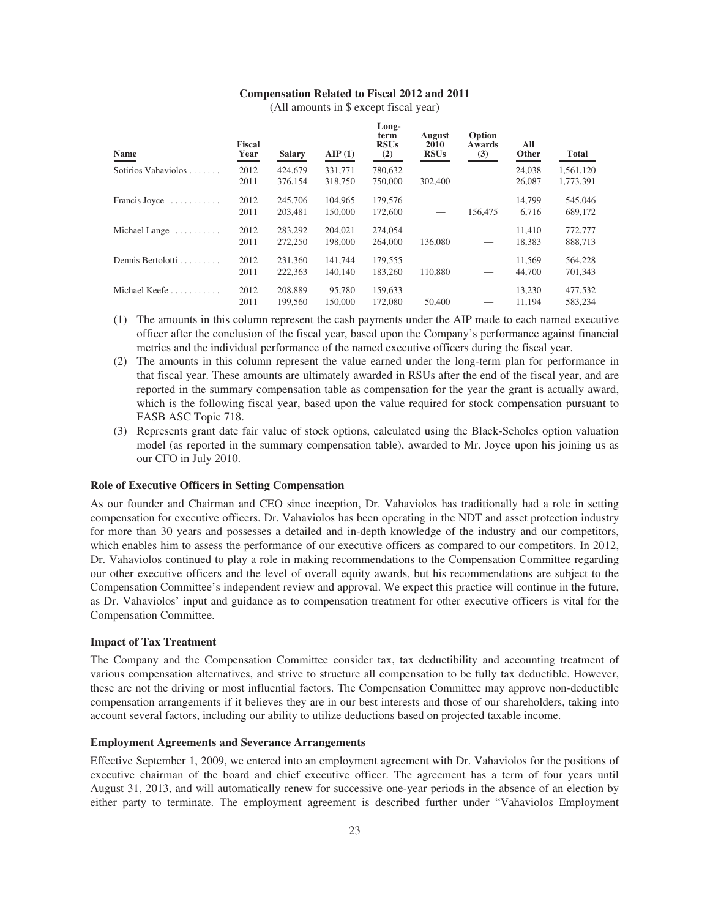# **Compensation Related to Fiscal 2012 and 2011**

| (All amounts in \$ except fiscal year) |
|----------------------------------------|
|----------------------------------------|

**Long-**

| Name                | <b>Fiscal</b><br>Year | <b>Salary</b> | AIP(1)  | Long-<br>term<br><b>RSUs</b><br>(2) | <b>August</b><br>2010<br><b>RSUs</b> | Option<br>Awards<br>(3)         | All<br>Other | <b>Total</b> |
|---------------------|-----------------------|---------------|---------|-------------------------------------|--------------------------------------|---------------------------------|--------------|--------------|
| Sotirios Vahaviolos | 2012                  | 424,679       | 331,771 | 780,632                             |                                      | $\hspace{0.1mm}-\hspace{0.1mm}$ | 24,038       | 1,561,120    |
|                     | 2011                  | 376,154       | 318,750 | 750,000                             | 302,400                              |                                 | 26,087       | 1,773,391    |
| Francis Joyce       | 2012                  | 245,706       | 104.965 | 179,576                             |                                      |                                 | 14,799       | 545,046      |
|                     | 2011                  | 203,481       | 150,000 | 172,600                             |                                      | 156,475                         | 6.716        | 689,172      |
| Michael Lange       | 2012                  | 283,292       | 204,021 | 274,054                             |                                      | $\hspace{0.1mm}-\hspace{0.1mm}$ | 11,410       | 772,777      |
|                     | 2011                  | 272,250       | 198,000 | 264,000                             | 136,080                              | $\overline{\phantom{0}}$        | 18,383       | 888,713      |
| Dennis Bertolotti   | 2012                  | 231,360       | 141.744 | 179,555                             |                                      | $\hspace{0.05cm}$               | 11.569       | 564,228      |
|                     | 2011                  | 222,363       | 140,140 | 183,260                             | 110,880                              |                                 | 44,700       | 701,343      |
| Michael Keefe       | 2012                  | 208,889       | 95,780  | 159,633                             |                                      |                                 | 13.230       | 477,532      |
|                     | 2011                  | 199,560       | 150,000 | 172,080                             | 50,400                               |                                 | 11.194       | 583,234      |

- (1) The amounts in this column represent the cash payments under the AIP made to each named executive officer after the conclusion of the fiscal year, based upon the Company's performance against financial metrics and the individual performance of the named executive officers during the fiscal year.
- (2) The amounts in this column represent the value earned under the long-term plan for performance in that fiscal year. These amounts are ultimately awarded in RSUs after the end of the fiscal year, and are reported in the summary compensation table as compensation for the year the grant is actually award, which is the following fiscal year, based upon the value required for stock compensation pursuant to FASB ASC Topic 718.
- (3) Represents grant date fair value of stock options, calculated using the Black-Scholes option valuation model (as reported in the summary compensation table), awarded to Mr. Joyce upon his joining us as our CFO in July 2010.

## **Role of Executive Officers in Setting Compensation**

As our founder and Chairman and CEO since inception, Dr. Vahaviolos has traditionally had a role in setting compensation for executive officers. Dr. Vahaviolos has been operating in the NDT and asset protection industry for more than 30 years and possesses a detailed and in-depth knowledge of the industry and our competitors, which enables him to assess the performance of our executive officers as compared to our competitors. In 2012, Dr. Vahaviolos continued to play a role in making recommendations to the Compensation Committee regarding our other executive officers and the level of overall equity awards, but his recommendations are subject to the Compensation Committee's independent review and approval. We expect this practice will continue in the future, as Dr. Vahaviolos' input and guidance as to compensation treatment for other executive officers is vital for the Compensation Committee.

### **Impact of Tax Treatment**

The Company and the Compensation Committee consider tax, tax deductibility and accounting treatment of various compensation alternatives, and strive to structure all compensation to be fully tax deductible. However, these are not the driving or most influential factors. The Compensation Committee may approve non-deductible compensation arrangements if it believes they are in our best interests and those of our shareholders, taking into account several factors, including our ability to utilize deductions based on projected taxable income.

#### **Employment Agreements and Severance Arrangements**

Effective September 1, 2009, we entered into an employment agreement with Dr. Vahaviolos for the positions of executive chairman of the board and chief executive officer. The agreement has a term of four years until August 31, 2013, and will automatically renew for successive one-year periods in the absence of an election by either party to terminate. The employment agreement is described further under "Vahaviolos Employment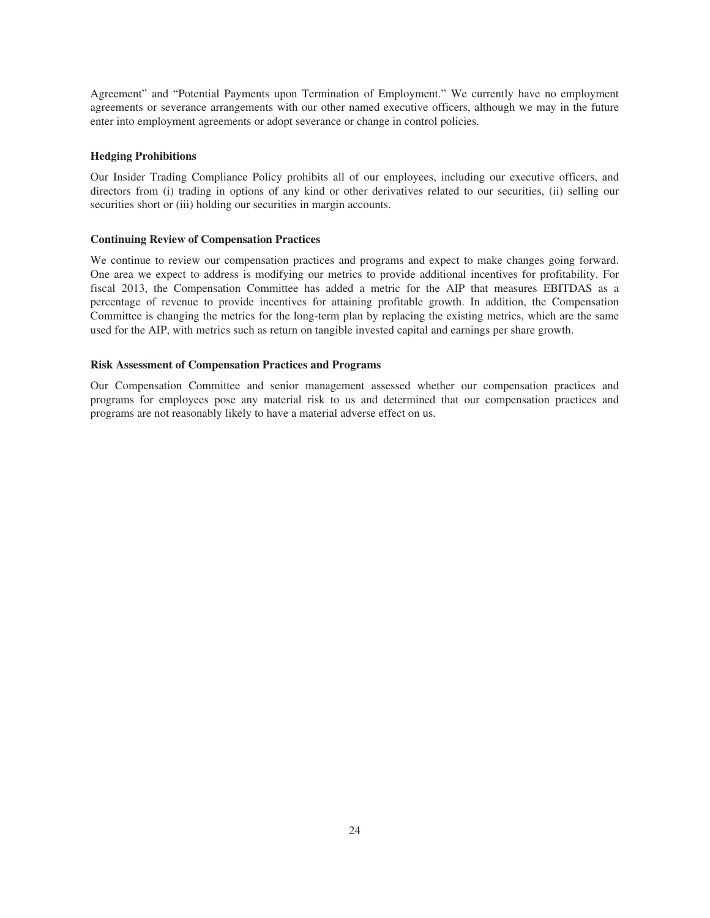Agreement" and "Potential Payments upon Termination of Employment." We currently have no employment agreements or severance arrangements with our other named executive officers, although we may in the future enter into employment agreements or adopt severance or change in control policies.

### **Hedging Prohibitions**

Our Insider Trading Compliance Policy prohibits all of our employees, including our executive officers, and directors from (i) trading in options of any kind or other derivatives related to our securities, (ii) selling our securities short or (iii) holding our securities in margin accounts.

### **Continuing Review of Compensation Practices**

We continue to review our compensation practices and programs and expect to make changes going forward. One area we expect to address is modifying our metrics to provide additional incentives for profitability. For fiscal 2013, the Compensation Committee has added a metric for the AIP that measures EBITDAS as a percentage of revenue to provide incentives for attaining profitable growth. In addition, the Compensation Committee is changing the metrics for the long-term plan by replacing the existing metrics, which are the same used for the AIP, with metrics such as return on tangible invested capital and earnings per share growth.

### **Risk Assessment of Compensation Practices and Programs**

Our Compensation Committee and senior management assessed whether our compensation practices and programs for employees pose any material risk to us and determined that our compensation practices and programs are not reasonably likely to have a material adverse effect on us.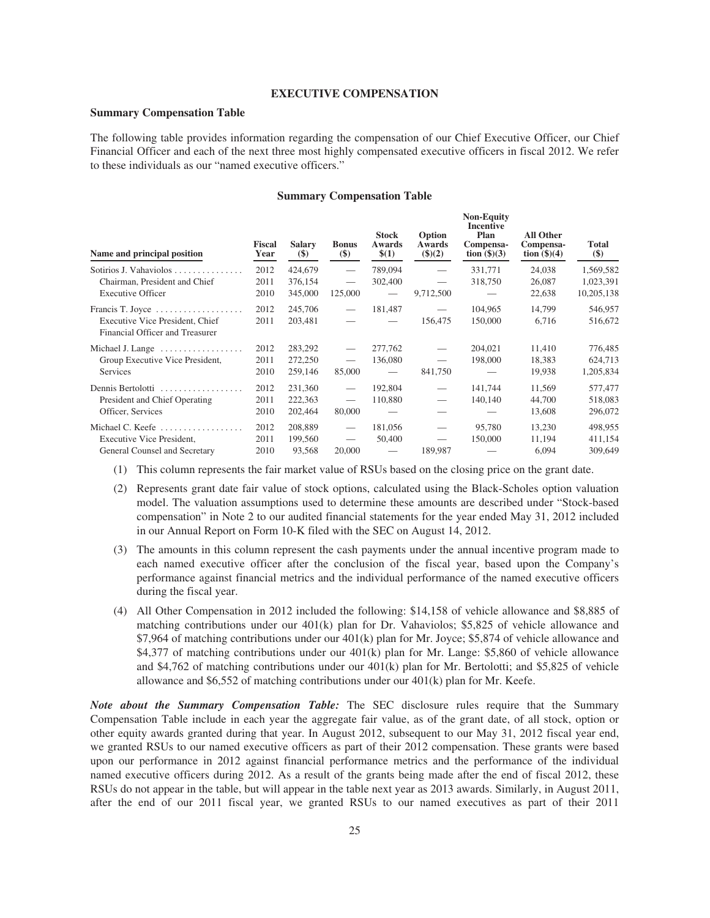### **EXECUTIVE COMPENSATION**

## **Summary Compensation Table**

The following table provides information regarding the compensation of our Chief Executive Officer, our Chief Financial Officer and each of the next three most highly compensated executive officers in fiscal 2012. We refer to these individuals as our "named executive officers."

#### **Summary Compensation Table**

| Name and principal position                                                                                     | <b>Fiscal</b><br>Year | <b>Salary</b><br>$(\$)$       | <b>Bonus</b><br>$($)$                                                 | <b>Stock</b><br>Awards<br>\$(1)        | Option<br>Awards<br>\$)(2)                                           | <b>Non-Equity</b><br>Incentive<br>Plan<br>Compensa-<br>tion $(\text{$}5)(3)$ | All Other<br>Compensa-<br>tion $(\$)(4)$ | <b>Total</b><br>$(\$)$          |
|-----------------------------------------------------------------------------------------------------------------|-----------------------|-------------------------------|-----------------------------------------------------------------------|----------------------------------------|----------------------------------------------------------------------|------------------------------------------------------------------------------|------------------------------------------|---------------------------------|
| Sotirios J. Vahaviolos<br>Chairman, President and Chief                                                         | 2012<br>2011          | 424,679<br>376,154            |                                                                       | 789,094<br>302,400                     | $\overline{\phantom{m}}$                                             | 331,771<br>318,750                                                           | 24,038<br>26,087                         | 1,569,582<br>1,023,391          |
| <b>Executive Officer</b>                                                                                        | 2010                  | 345,000                       | 125,000                                                               | $\overline{\phantom{m}}$               | 9,712,500                                                            |                                                                              | 22,638                                   | 10,205,138                      |
| Francis T. Joyce<br>Executive Vice President, Chief<br>Financial Officer and Treasurer                          | 2012<br>2011          | 245,706<br>203,481            | $\hspace{0.1mm}-\hspace{0.1mm}$                                       | 181,487<br>$\overline{\phantom{m}}$    | $\hspace{0.1mm}-\hspace{0.1mm}$<br>156,475                           | 104,965<br>150,000                                                           | 14,799<br>6,716                          | 546,957<br>516,672              |
| Michael J. Lange<br>Group Executive Vice President,<br><b>Services</b>                                          | 2012<br>2011<br>2010  | 283,292<br>272,250<br>259,146 | $\hspace{0.1mm}-\hspace{0.1mm}$<br>$\hspace{0.05cm}$<br>85,000        | 277,762<br>136,080<br>$\qquad \qquad$  | $\hspace{0.1mm}-\hspace{0.1mm}$<br>841,750                           | 204,021<br>198,000                                                           | 11,410<br>18,383<br>19,938               | 776,485<br>624,713<br>1,205,834 |
| Dennis Bertolotti<br>President and Chief Operating<br>Officer, Services                                         | 2012<br>2011<br>2010  | 231,360<br>222,363<br>202,464 | $\overline{\phantom{m}}$<br>$\hspace{0.05cm}$<br>80,000               | 192,804<br>110,880                     | $\hspace{0.1mm}-\hspace{0.1mm}$                                      | 141,744<br>140,140                                                           | 11,569<br>44,700<br>13,608               | 577,477<br>518,083<br>296,072   |
| Michael C. Keefe $\dots\dots\dots\dots\dots\dots$<br>Executive Vice President,<br>General Counsel and Secretary | 2012<br>2011<br>2010  | 208,889<br>199,560<br>93,568  | $\overline{\phantom{m}}$<br>$\hspace{0.1mm}-\hspace{0.1mm}$<br>20,000 | 181,056<br>50,400<br>$\hspace{0.05cm}$ | $\overline{\phantom{0}}$<br>$\overbrace{\phantom{12333}}$<br>189,987 | 95,780<br>150,000                                                            | 13,230<br>11,194<br>6,094                | 498,955<br>411,154<br>309,649   |

(1) This column represents the fair market value of RSUs based on the closing price on the grant date.

- (2) Represents grant date fair value of stock options, calculated using the Black-Scholes option valuation model. The valuation assumptions used to determine these amounts are described under "Stock-based compensation" in Note 2 to our audited financial statements for the year ended May 31, 2012 included in our Annual Report on Form 10-K filed with the SEC on August 14, 2012.
- (3) The amounts in this column represent the cash payments under the annual incentive program made to each named executive officer after the conclusion of the fiscal year, based upon the Company's performance against financial metrics and the individual performance of the named executive officers during the fiscal year.
- (4) All Other Compensation in 2012 included the following: \$14,158 of vehicle allowance and \$8,885 of matching contributions under our 401(k) plan for Dr. Vahaviolos; \$5,825 of vehicle allowance and \$7,964 of matching contributions under our 401(k) plan for Mr. Joyce; \$5,874 of vehicle allowance and \$4,377 of matching contributions under our 401(k) plan for Mr. Lange: \$5,860 of vehicle allowance and \$4,762 of matching contributions under our 401(k) plan for Mr. Bertolotti; and \$5,825 of vehicle allowance and \$6,552 of matching contributions under our 401(k) plan for Mr. Keefe.

*Note about the Summary Compensation Table:* The SEC disclosure rules require that the Summary Compensation Table include in each year the aggregate fair value, as of the grant date, of all stock, option or other equity awards granted during that year. In August 2012, subsequent to our May 31, 2012 fiscal year end, we granted RSUs to our named executive officers as part of their 2012 compensation. These grants were based upon our performance in 2012 against financial performance metrics and the performance of the individual named executive officers during 2012. As a result of the grants being made after the end of fiscal 2012, these RSUs do not appear in the table, but will appear in the table next year as 2013 awards. Similarly, in August 2011, after the end of our 2011 fiscal year, we granted RSUs to our named executives as part of their 2011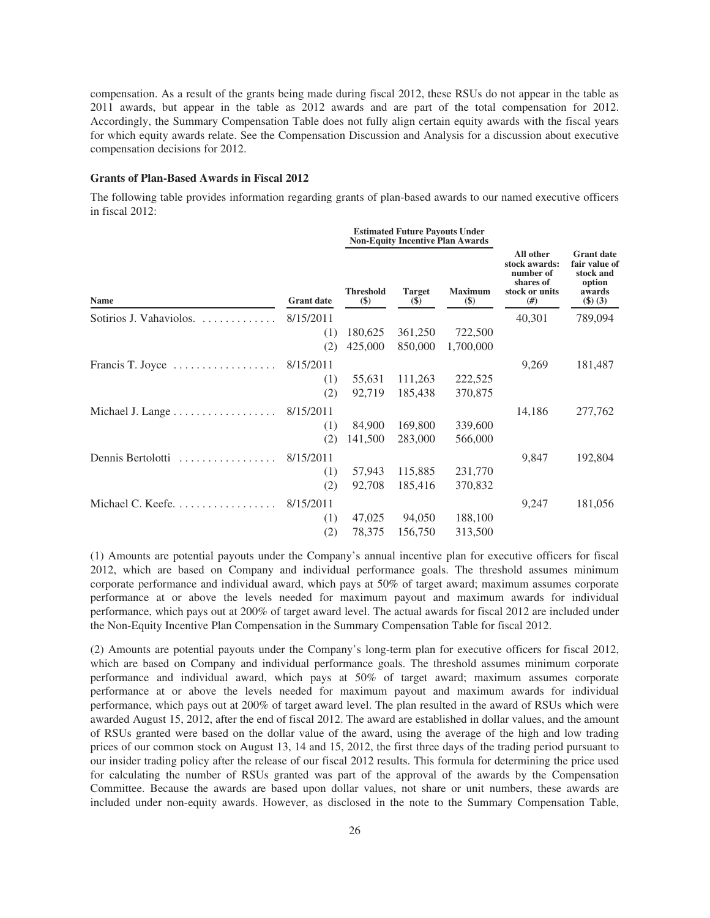compensation. As a result of the grants being made during fiscal 2012, these RSUs do not appear in the table as 2011 awards, but appear in the table as 2012 awards and are part of the total compensation for 2012. Accordingly, the Summary Compensation Table does not fully align certain equity awards with the fiscal years for which equity awards relate. See the Compensation Discussion and Analysis for a discussion about executive compensation decisions for 2012.

# **Grants of Plan-Based Awards in Fiscal 2012**

The following table provides information regarding grants of plan-based awards to our named executive officers in fiscal 2012:

**Estimated Future Payouts Under**

|                                                   |                   |                         | <b>Esumated Future Payouts Under</b><br><b>Non-Equity Incentive Plan Awards</b> |                          |                                                                              |                                                                               |
|---------------------------------------------------|-------------------|-------------------------|---------------------------------------------------------------------------------|--------------------------|------------------------------------------------------------------------------|-------------------------------------------------------------------------------|
| <b>Name</b>                                       | <b>Grant date</b> | <b>Threshold</b><br>\$) | <b>Target</b><br>$\left( \mathbb{S}\right)$                                     | <b>Maximum</b><br>$(\$)$ | All other<br>stock awards:<br>number of<br>shares of<br>stock or units<br>#) | <b>Grant</b> date<br>fair value of<br>stock and<br>option<br>awards<br>(3)(3) |
| Sotirios J. Vahaviolos.                           | 8/15/2011         |                         |                                                                                 |                          | 40,301                                                                       | 789,094                                                                       |
|                                                   | (1)               | 180,625                 | 361,250                                                                         | 722,500                  |                                                                              |                                                                               |
|                                                   | (2)               | 425,000                 | 850,000                                                                         | 1,700,000                |                                                                              |                                                                               |
| Francis T. Joyce<br>.                             | 8/15/2011         |                         |                                                                                 |                          | 9,269                                                                        | 181,487                                                                       |
|                                                   | (1)               | 55,631                  | 111,263                                                                         | 222,525                  |                                                                              |                                                                               |
|                                                   | (2)               | 92,719                  | 185,438                                                                         | 370,875                  |                                                                              |                                                                               |
| Michael J. Lange                                  | 8/15/2011         |                         |                                                                                 |                          | 14,186                                                                       | 277,762                                                                       |
|                                                   | (1)               | 84,900                  | 169,800                                                                         | 339,600                  |                                                                              |                                                                               |
|                                                   | (2)               | 141,500                 | 283,000                                                                         | 566,000                  |                                                                              |                                                                               |
| Dennis Bertolotti<br>.                            | 8/15/2011         |                         |                                                                                 |                          | 9,847                                                                        | 192,804                                                                       |
|                                                   | (1)               | 57,943                  | 115,885                                                                         | 231,770                  |                                                                              |                                                                               |
|                                                   | (2)               | 92,708                  | 185,416                                                                         | 370,832                  |                                                                              |                                                                               |
| Michael C. Keefe. $\dots \dots \dots \dots \dots$ | 8/15/2011         |                         |                                                                                 |                          | 9,247                                                                        | 181,056                                                                       |
|                                                   | (1)               | 47,025                  | 94,050                                                                          | 188,100                  |                                                                              |                                                                               |
|                                                   | (2)               | 78,375                  | 156,750                                                                         | 313,500                  |                                                                              |                                                                               |

(1) Amounts are potential payouts under the Company's annual incentive plan for executive officers for fiscal 2012, which are based on Company and individual performance goals. The threshold assumes minimum corporate performance and individual award, which pays at 50% of target award; maximum assumes corporate performance at or above the levels needed for maximum payout and maximum awards for individual performance, which pays out at 200% of target award level. The actual awards for fiscal 2012 are included under the Non-Equity Incentive Plan Compensation in the Summary Compensation Table for fiscal 2012.

(2) Amounts are potential payouts under the Company's long-term plan for executive officers for fiscal 2012, which are based on Company and individual performance goals. The threshold assumes minimum corporate performance and individual award, which pays at 50% of target award; maximum assumes corporate performance at or above the levels needed for maximum payout and maximum awards for individual performance, which pays out at 200% of target award level. The plan resulted in the award of RSUs which were awarded August 15, 2012, after the end of fiscal 2012. The award are established in dollar values, and the amount of RSUs granted were based on the dollar value of the award, using the average of the high and low trading prices of our common stock on August 13, 14 and 15, 2012, the first three days of the trading period pursuant to our insider trading policy after the release of our fiscal 2012 results. This formula for determining the price used for calculating the number of RSUs granted was part of the approval of the awards by the Compensation Committee. Because the awards are based upon dollar values, not share or unit numbers, these awards are included under non-equity awards. However, as disclosed in the note to the Summary Compensation Table,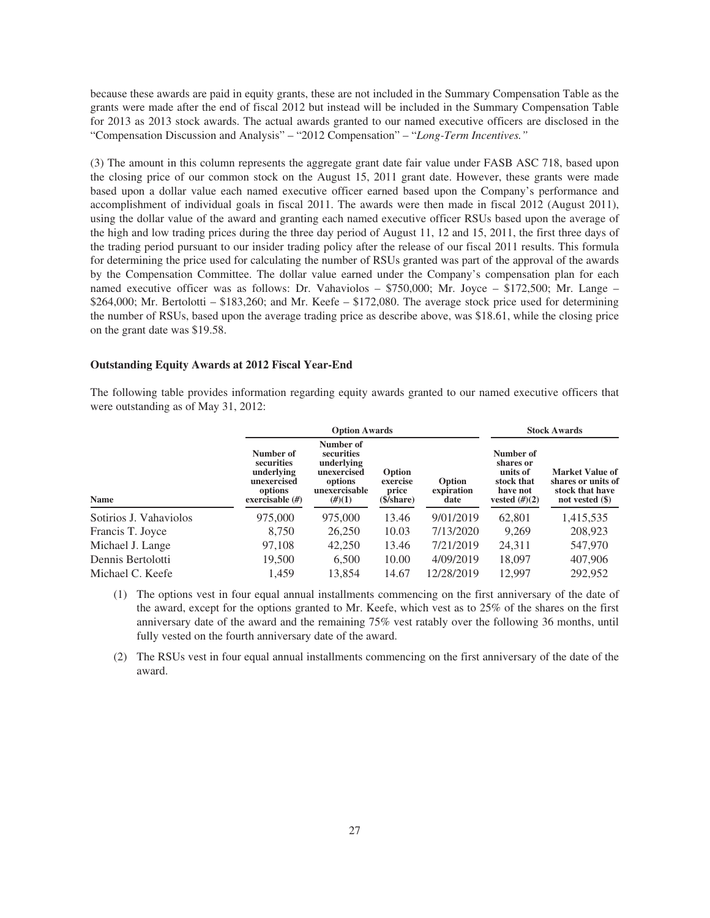because these awards are paid in equity grants, these are not included in the Summary Compensation Table as the grants were made after the end of fiscal 2012 but instead will be included in the Summary Compensation Table for 2013 as 2013 stock awards. The actual awards granted to our named executive officers are disclosed in the "Compensation Discussion and Analysis" – "2012 Compensation" – "*Long-Term Incentives."*

(3) The amount in this column represents the aggregate grant date fair value under FASB ASC 718, based upon the closing price of our common stock on the August 15, 2011 grant date. However, these grants were made based upon a dollar value each named executive officer earned based upon the Company's performance and accomplishment of individual goals in fiscal 2011. The awards were then made in fiscal 2012 (August 2011), using the dollar value of the award and granting each named executive officer RSUs based upon the average of the high and low trading prices during the three day period of August 11, 12 and 15, 2011, the first three days of the trading period pursuant to our insider trading policy after the release of our fiscal 2011 results. This formula for determining the price used for calculating the number of RSUs granted was part of the approval of the awards by the Compensation Committee. The dollar value earned under the Company's compensation plan for each named executive officer was as follows: Dr. Vahaviolos – \$750,000; Mr. Joyce – \$172,500; Mr. Lange –  $$264,000$ ; Mr. Bertolotti – \$183,260; and Mr. Keefe – \$172,080. The average stock price used for determining the number of RSUs, based upon the average trading price as describe above, was \$18.61, while the closing price on the grant date was \$19.58.

#### **Outstanding Equity Awards at 2012 Fiscal Year-End**

The following table provides information regarding equity awards granted to our named executive officers that were outstanding as of May 31, 2012:

|                        |                                                                                      | <b>Option Awards</b>                                                                       | <b>Stock Awards</b>                               |                              |                                                                                  |                                                                                    |
|------------------------|--------------------------------------------------------------------------------------|--------------------------------------------------------------------------------------------|---------------------------------------------------|------------------------------|----------------------------------------------------------------------------------|------------------------------------------------------------------------------------|
| <b>Name</b>            | Number of<br>securities<br>underlying<br>unexercised<br>options<br>exercisable $(H)$ | Number of<br>securities<br>underlying<br>unexercised<br>options<br>unexercisable<br>(H)(1) | Option<br>exercise<br>price<br>$(S/\text{share})$ | Option<br>expiration<br>date | Number of<br>shares or<br>units of<br>stock that<br>have not<br>vested $(\#)(2)$ | <b>Market Value of</b><br>shares or units of<br>stock that have<br>not vested (\$) |
| Sotirios J. Vahaviolos | 975,000                                                                              | 975,000                                                                                    | 13.46                                             | 9/01/2019                    | 62,801                                                                           | 1,415,535                                                                          |
| Francis T. Joyce       | 8,750                                                                                | 26,250                                                                                     | 10.03                                             | 7/13/2020                    | 9,269                                                                            | 208,923                                                                            |
| Michael J. Lange       | 97,108                                                                               | 42,250                                                                                     | 13.46                                             | 7/21/2019                    | 24,311                                                                           | 547,970                                                                            |
| Dennis Bertolotti      | 19,500                                                                               | 6,500                                                                                      | 10.00                                             | 4/09/2019                    | 18,097                                                                           | 407,906                                                                            |
| Michael C. Keefe       | 1,459                                                                                | 13.854                                                                                     | 14.67                                             | 12/28/2019                   | 12,997                                                                           | 292,952                                                                            |

(1) The options vest in four equal annual installments commencing on the first anniversary of the date of the award, except for the options granted to Mr. Keefe, which vest as to 25% of the shares on the first anniversary date of the award and the remaining 75% vest ratably over the following 36 months, until fully vested on the fourth anniversary date of the award.

(2) The RSUs vest in four equal annual installments commencing on the first anniversary of the date of the award.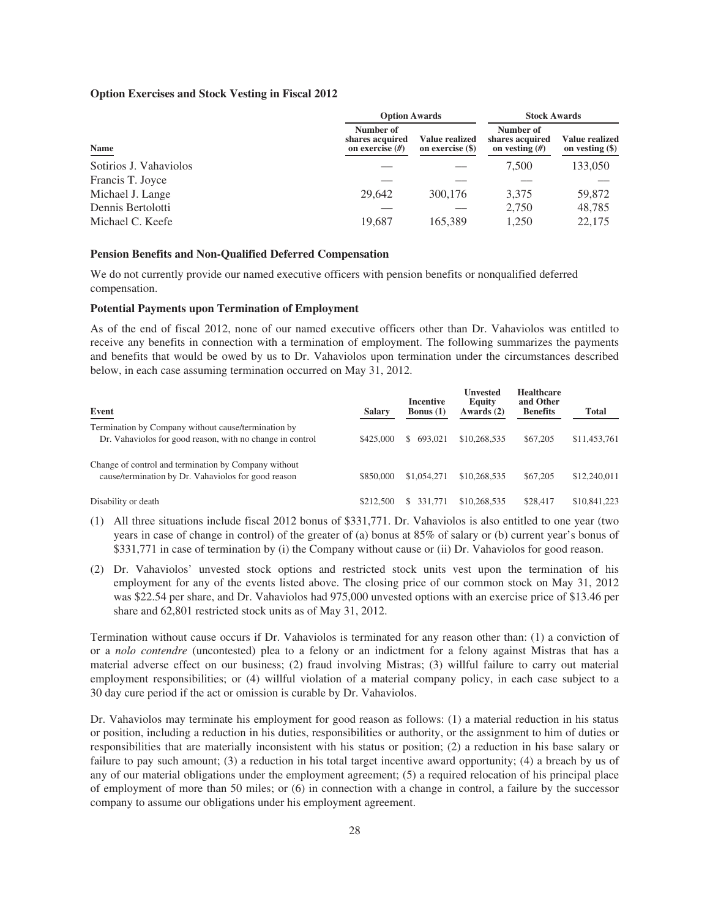## **Option Exercises and Stock Vesting in Fiscal 2012**

|                        | <b>Option Awards</b>                              | <b>Stock Awards</b>                |                                                  |                                          |
|------------------------|---------------------------------------------------|------------------------------------|--------------------------------------------------|------------------------------------------|
| Name                   | Number of<br>shares acquired<br>on exercise $(H)$ | Value realized<br>on exercise (\$) | Number of<br>shares acquired<br>on vesting $(H)$ | <b>Value realized</b><br>on vesting (\$) |
| Sotirios J. Vahaviolos |                                                   |                                    | 7.500                                            | 133,050                                  |
| Francis T. Joyce       |                                                   |                                    |                                                  |                                          |
| Michael J. Lange       | 29,642                                            | 300,176                            | 3,375                                            | 59,872                                   |
| Dennis Bertolotti      |                                                   |                                    | 2,750                                            | 48,785                                   |
| Michael C. Keefe       | 19,687                                            | 165,389                            | 1,250                                            | 22,175                                   |

# **Pension Benefits and Non-Qualified Deferred Compensation**

We do not currently provide our named executive officers with pension benefits or nonqualified deferred compensation.

#### **Potential Payments upon Termination of Employment**

As of the end of fiscal 2012, none of our named executive officers other than Dr. Vahaviolos was entitled to receive any benefits in connection with a termination of employment. The following summarizes the payments and benefits that would be owed by us to Dr. Vahaviolos upon termination under the circumstances described below, in each case assuming termination occurred on May 31, 2012.

| Event                                                                                                            | <b>Salary</b> | <b>Incentive</b><br><b>Bonus</b> $(1)$ | <b>Unvested</b><br>Equity<br>Awards $(2)$ | <b>Healthcare</b><br>and Other<br><b>Benefits</b> | Total        |
|------------------------------------------------------------------------------------------------------------------|---------------|----------------------------------------|-------------------------------------------|---------------------------------------------------|--------------|
| Termination by Company without cause/termination by<br>Dr. Vahaviolos for good reason, with no change in control | \$425,000     | 693,021                                | \$10,268,535                              | \$67,205                                          | \$11,453,761 |
| Change of control and termination by Company without<br>cause/termination by Dr. Vahaviolos for good reason      | \$850,000     | \$1,054,271                            | \$10,268,535                              | \$67,205                                          | \$12,240,011 |
| Disability or death                                                                                              | \$212,500     | 331.771                                | \$10,268,535                              | \$28,417                                          | \$10,841,223 |

- (1) All three situations include fiscal 2012 bonus of \$331,771. Dr. Vahaviolos is also entitled to one year (two years in case of change in control) of the greater of (a) bonus at 85% of salary or (b) current year's bonus of \$331,771 in case of termination by (i) the Company without cause or (ii) Dr. Vahaviolos for good reason.
- (2) Dr. Vahaviolos' unvested stock options and restricted stock units vest upon the termination of his employment for any of the events listed above. The closing price of our common stock on May 31, 2012 was \$22.54 per share, and Dr. Vahaviolos had 975,000 unvested options with an exercise price of \$13.46 per share and 62,801 restricted stock units as of May 31, 2012.

Termination without cause occurs if Dr. Vahaviolos is terminated for any reason other than: (1) a conviction of or a *nolo contendre* (uncontested) plea to a felony or an indictment for a felony against Mistras that has a material adverse effect on our business; (2) fraud involving Mistras; (3) willful failure to carry out material employment responsibilities; or (4) willful violation of a material company policy, in each case subject to a 30 day cure period if the act or omission is curable by Dr. Vahaviolos.

Dr. Vahaviolos may terminate his employment for good reason as follows: (1) a material reduction in his status or position, including a reduction in his duties, responsibilities or authority, or the assignment to him of duties or responsibilities that are materially inconsistent with his status or position; (2) a reduction in his base salary or failure to pay such amount; (3) a reduction in his total target incentive award opportunity; (4) a breach by us of any of our material obligations under the employment agreement; (5) a required relocation of his principal place of employment of more than 50 miles; or (6) in connection with a change in control, a failure by the successor company to assume our obligations under his employment agreement.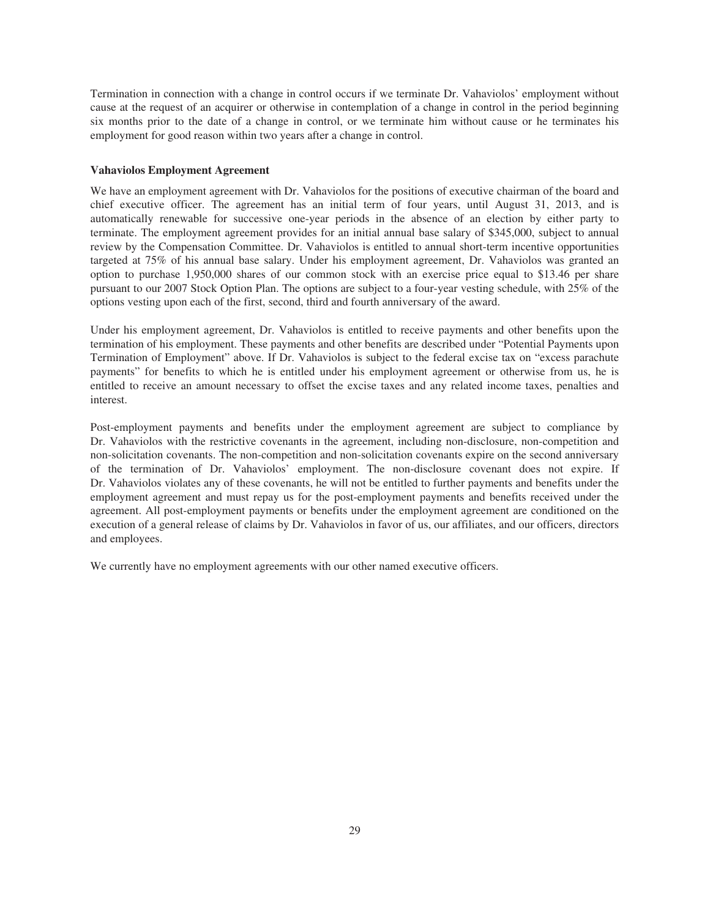Termination in connection with a change in control occurs if we terminate Dr. Vahaviolos' employment without cause at the request of an acquirer or otherwise in contemplation of a change in control in the period beginning six months prior to the date of a change in control, or we terminate him without cause or he terminates his employment for good reason within two years after a change in control.

### **Vahaviolos Employment Agreement**

We have an employment agreement with Dr. Vahaviolos for the positions of executive chairman of the board and chief executive officer. The agreement has an initial term of four years, until August 31, 2013, and is automatically renewable for successive one-year periods in the absence of an election by either party to terminate. The employment agreement provides for an initial annual base salary of \$345,000, subject to annual review by the Compensation Committee. Dr. Vahaviolos is entitled to annual short-term incentive opportunities targeted at 75% of his annual base salary. Under his employment agreement, Dr. Vahaviolos was granted an option to purchase 1,950,000 shares of our common stock with an exercise price equal to \$13.46 per share pursuant to our 2007 Stock Option Plan. The options are subject to a four-year vesting schedule, with 25% of the options vesting upon each of the first, second, third and fourth anniversary of the award.

Under his employment agreement, Dr. Vahaviolos is entitled to receive payments and other benefits upon the termination of his employment. These payments and other benefits are described under "Potential Payments upon Termination of Employment" above. If Dr. Vahaviolos is subject to the federal excise tax on "excess parachute payments" for benefits to which he is entitled under his employment agreement or otherwise from us, he is entitled to receive an amount necessary to offset the excise taxes and any related income taxes, penalties and interest.

Post-employment payments and benefits under the employment agreement are subject to compliance by Dr. Vahaviolos with the restrictive covenants in the agreement, including non-disclosure, non-competition and non-solicitation covenants. The non-competition and non-solicitation covenants expire on the second anniversary of the termination of Dr. Vahaviolos' employment. The non-disclosure covenant does not expire. If Dr. Vahaviolos violates any of these covenants, he will not be entitled to further payments and benefits under the employment agreement and must repay us for the post-employment payments and benefits received under the agreement. All post-employment payments or benefits under the employment agreement are conditioned on the execution of a general release of claims by Dr. Vahaviolos in favor of us, our affiliates, and our officers, directors and employees.

We currently have no employment agreements with our other named executive officers.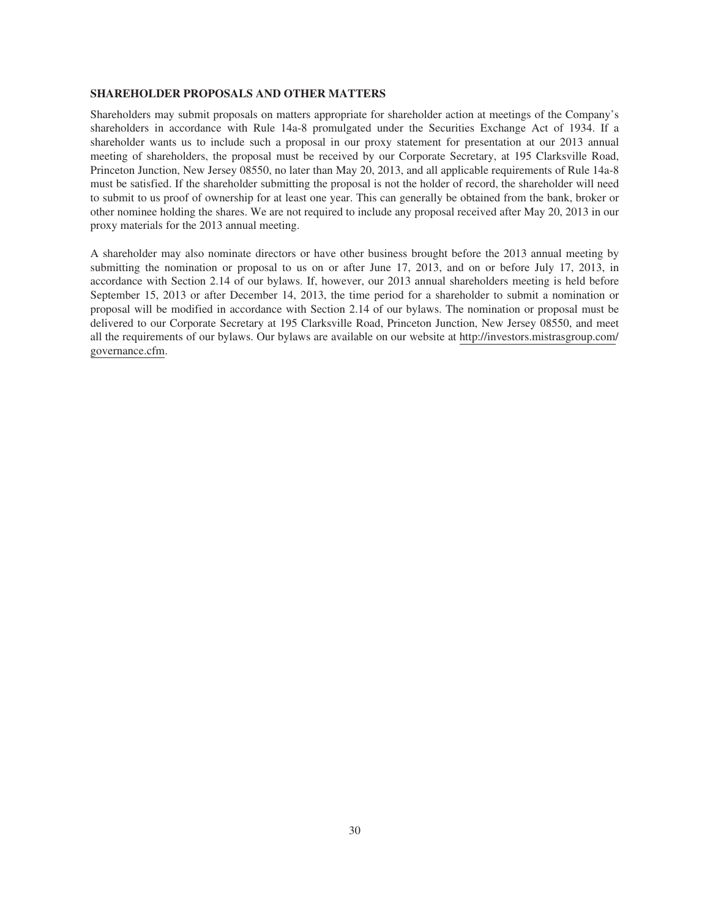#### **SHAREHOLDER PROPOSALS AND OTHER MATTERS**

Shareholders may submit proposals on matters appropriate for shareholder action at meetings of the Company's shareholders in accordance with Rule 14a-8 promulgated under the Securities Exchange Act of 1934. If a shareholder wants us to include such a proposal in our proxy statement for presentation at our 2013 annual meeting of shareholders, the proposal must be received by our Corporate Secretary, at 195 Clarksville Road, Princeton Junction, New Jersey 08550, no later than May 20, 2013, and all applicable requirements of Rule 14a-8 must be satisfied. If the shareholder submitting the proposal is not the holder of record, the shareholder will need to submit to us proof of ownership for at least one year. This can generally be obtained from the bank, broker or other nominee holding the shares. We are not required to include any proposal received after May 20, 2013 in our proxy materials for the 2013 annual meeting.

A shareholder may also nominate directors or have other business brought before the 2013 annual meeting by submitting the nomination or proposal to us on or after June 17, 2013, and on or before July 17, 2013, in accordance with Section 2.14 of our bylaws. If, however, our 2013 annual shareholders meeting is held before September 15, 2013 or after December 14, 2013, the time period for a shareholder to submit a nomination or proposal will be modified in accordance with Section 2.14 of our bylaws. The nomination or proposal must be delivered to our Corporate Secretary at 195 Clarksville Road, Princeton Junction, New Jersey 08550, and meet all the requirements of our bylaws. Our bylaws are available on our website at http://investors.mistrasgroup.com/ governance.cfm.